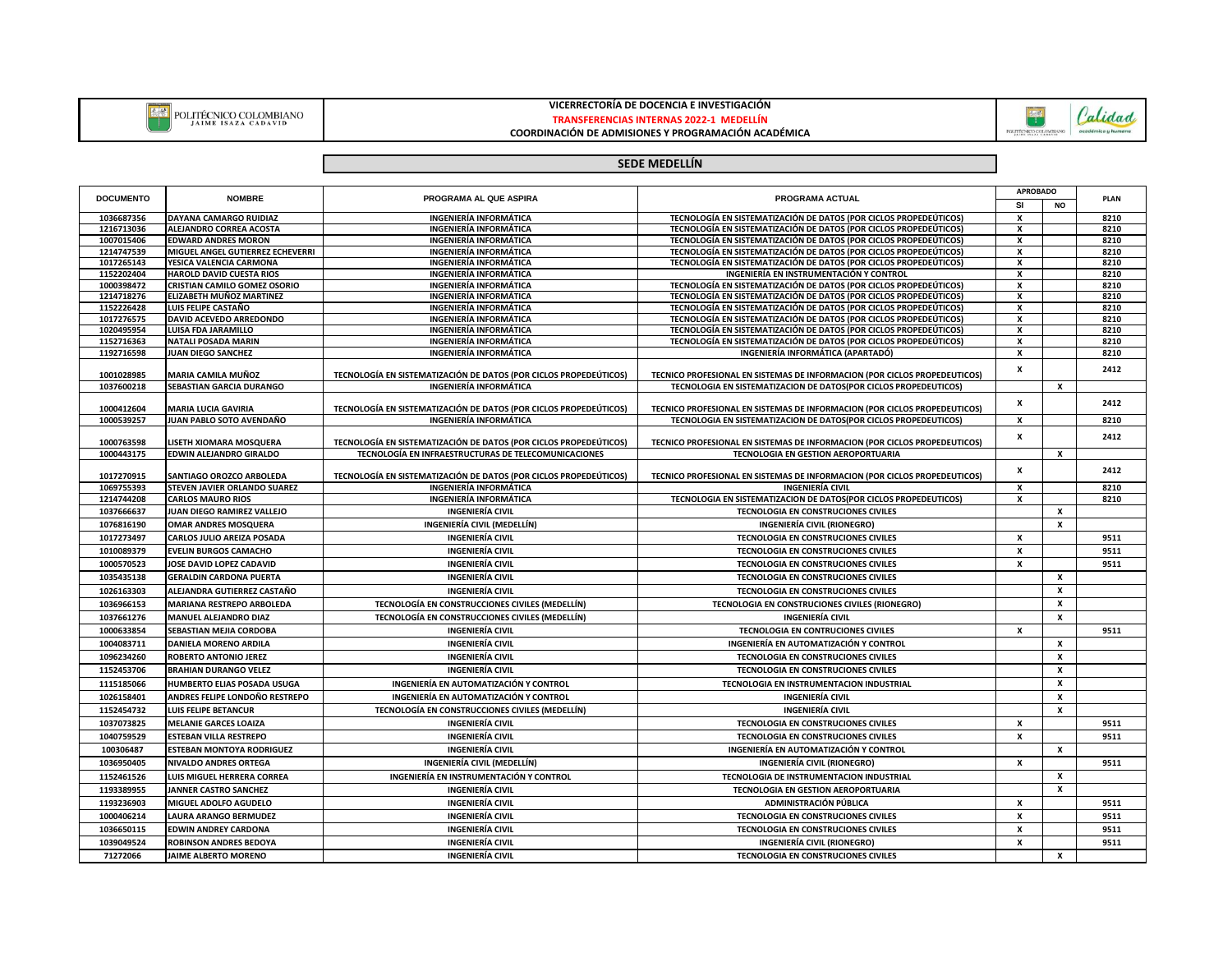

## **VICERRECTORÍA DE DOCENCIA E INVESTIGACIÓN**



**COORDINACIÓN DE ADMISIONES Y PROGRAMACIÓN ACADÉMICA**



## **SEDE MEDELLÍN**

| <b>DOCUMENTO</b> | <b>NOMBRE</b>                    |                                                                   | PROGRAMA ACTUAL                                                           | <b>APROBADO</b> |                  | PLAN |
|------------------|----------------------------------|-------------------------------------------------------------------|---------------------------------------------------------------------------|-----------------|------------------|------|
|                  |                                  | PROGRAMA AL QUE ASPIRA                                            |                                                                           | <b>SI</b>       | NO               |      |
| 1036687356       | <b>DAYANA CAMARGO RUIDIAZ</b>    | <b>INGENIERÍA INFORMÁTICA</b>                                     | TECNOLOGÍA EN SISTEMATIZACIÓN DE DATOS (POR CICLOS PROPEDEÚTICOS)         | X               |                  | 8210 |
| 1216713036       | <b>ALEJANDRO CORREA ACOSTA</b>   | <b>INGENIERÍA INFORMÁTICA</b>                                     | TECNOLOGÍA EN SISTEMATIZACIÓN DE DATOS (POR CICLOS PROPEDEÚTICOS)         | x               |                  | 8210 |
| 1007015406       | <b>EDWARD ANDRES MORON</b>       | <b>INGENIERÍA INFORMÁTICA</b>                                     | TECNOLOGÍA EN SISTEMATIZACIÓN DE DATOS (POR CICLOS PROPEDEÚTICOS)         | x               |                  | 8210 |
| 1214747539       | MIGUEL ANGEL GUTIERREZ ECHEVERRI | <b>INGENIERÍA INFORMÁTICA</b>                                     | TECNOLOGÍA EN SISTEMATIZACIÓN DE DATOS (POR CICLOS PROPEDEÚTICOS)         | $\mathsf{x}$    |                  | 8210 |
| 1017265143       | YESICA VALENCIA CARMONA          | <b>INGENIERÍA INFORMÁTICA</b>                                     | TECNOLOGÍA EN SISTEMATIZACIÓN DE DATOS (POR CICLOS PROPEDEÚTICOS)         | x               |                  | 8210 |
| 1152202404       | <b>HAROLD DAVID CUESTA RIOS</b>  | <b>INGENIERÍA INFORMÁTICA</b>                                     | INGENIERÍA EN INSTRUMENTACIÓN Y CONTROL                                   | $\mathsf{x}$    |                  | 8210 |
| 1000398472       | CRISTIAN CAMILO GOMEZ OSORIO     | <b>INGENIERÍA INFORMÁTICA</b>                                     | TECNOLOGÍA EN SISTEMATIZACIÓN DE DATOS (POR CICLOS PROPEDEÚTICOS)         | x               |                  | 8210 |
| 1214718276       | ELIZABETH MUÑOZ MARTINEZ         | <b>INGENIERÍA INFORMÁTICA</b>                                     | TECNOLOGÍA EN SISTEMATIZACIÓN DE DATOS (POR CICLOS PROPEDEÚTICOS)         | $\mathbf{x}$    |                  | 8210 |
| 1152226428       | LUIS FELIPE CASTAÑO              | <b>INGENIERÍA INFORMÁTICA</b>                                     | TECNOLOGÍA EN SISTEMATIZACIÓN DE DATOS (POR CICLOS PROPEDEÚTICOS)         | x               |                  | 8210 |
| 1017276575       | DAVID ACEVEDO ARREDONDO          | <b>INGENIERÍA INFORMÁTICA</b>                                     | TECNOLOGÍA EN SISTEMATIZACIÓN DE DATOS (POR CICLOS PROPEDEÚTICOS)         | x               |                  | 8210 |
| 1020495954       | <b>LUISA FDA JARAMILLO</b>       | <b>INGENIERÍA INFORMÁTICA</b>                                     | TECNOLOGÍA EN SISTEMATIZACIÓN DE DATOS (POR CICLOS PROPEDEÚTICOS)         | x               |                  | 8210 |
| 1152716363       | <b>NATALI POSADA MARIN</b>       | <b>INGENIERÍA INFORMÁTICA</b>                                     | TECNOLOGÍA EN SISTEMATIZACIÓN DE DATOS (POR CICLOS PROPEDEÚTICOS)         | $\mathsf{x}$    |                  | 8210 |
| 1192716598       | JUAN DIEGO SANCHEZ               | <b>INGENIERÍA INFORMÁTICA</b>                                     | INGENIERÍA INFORMÁTICA (APARTADÓ)                                         | x               |                  | 8210 |
| 1001028985       | MARIA CAMILA MUÑOZ               | TECNOLOGÍA EN SISTEMATIZACIÓN DE DATOS (POR CICLOS PROPEDEÚTICOS) | TECNICO PROFESIONAL EN SISTEMAS DE INFORMACION (POR CICLOS PROPEDEUTICOS) | x               |                  | 2412 |
| 1037600218       | SEBASTIAN GARCIA DURANGO         | <b>INGENIERÍA INFORMÁTICA</b>                                     | TECNOLOGIA EN SISTEMATIZACION DE DATOS(POR CICLOS PROPEDEUTICOS)          |                 | x                |      |
| 1000412604       | <b>MARIA LUCIA GAVIRIA</b>       | TECNOLOGÍA EN SISTEMATIZACIÓN DE DATOS (POR CICLOS PROPEDEÚTICOS) | TECNICO PROFESIONAL EN SISTEMAS DE INFORMACION (POR CICLOS PROPEDEUTICOS) | x               |                  | 2412 |
| 1000539257       | JUAN PABLO SOTO AVENDAÑO         | <b>INGENIERÍA INFORMÁTICA</b>                                     | TECNOLOGIA EN SISTEMATIZACION DE DATOS(POR CICLOS PROPEDEUTICOS)          | $\mathbf{x}$    |                  | 8210 |
|                  |                                  |                                                                   |                                                                           |                 |                  |      |
| 1000763598       | LISETH XIOMARA MOSQUERA          | TECNOLOGÍA EN SISTEMATIZACIÓN DE DATOS (POR CICLOS PROPEDEÚTICOS) | TECNICO PROFESIONAL EN SISTEMAS DE INFORMACION (POR CICLOS PROPEDEUTICOS) | $\mathsf{x}$    |                  | 2412 |
| 1000443175       | EDWIN ALEJANDRO GIRALDO          | TECNOLOGÍA EN INFRAESTRUCTURAS DE TELECOMUNICACIONES              | TECNOLOGIA EN GESTION AEROPORTUARIA                                       |                 | x                |      |
|                  |                                  |                                                                   |                                                                           | x               |                  | 2412 |
| 1017270915       | SANTIAGO OROZCO ARBOLEDA         | TECNOLOGÍA EN SISTEMATIZACIÓN DE DATOS (POR CICLOS PROPEDEÚTICOS) | TECNICO PROFESIONAL EN SISTEMAS DE INFORMACION (POR CICLOS PROPEDEUTICOS) |                 |                  |      |
| 1069755393       | STEVEN JAVIER ORLANDO SUAREZ     | <b>INGENIERÍA INFORMÁTICA</b>                                     | <b>INGENIERÍA CIVIL</b>                                                   | x               |                  | 8210 |
| 1214744208       | <b>CARLOS MAURO RIOS</b>         | <b>INGENIERÍA INFORMÁTICA</b>                                     | TECNOLOGIA EN SISTEMATIZACION DE DATOS(POR CICLOS PROPEDEUTICOS)          | $\mathsf{x}$    |                  | 8210 |
| 1037666637       | JUAN DIEGO RAMIREZ VALLEJO       | <b>INGENIERÍA CIVIL</b>                                           | TECNOLOGIA EN CONSTRUCIONES CIVILES                                       |                 | X                |      |
| 1076816190       | <b>OMAR ANDRES MOSQUERA</b>      | INGENIERÍA CIVIL (MEDELLÍN)                                       | INGENIERÍA CIVIL (RIONEGRO)                                               |                 | $\pmb{\chi}$     |      |
| 1017273497       | CARLOS JULIO AREIZA POSADA       | <b>INGENIERÍA CIVIL</b>                                           | TECNOLOGIA EN CONSTRUCIONES CIVILES                                       | $\mathbf{x}$    |                  | 9511 |
| 1010089379       | <b>EVELIN BURGOS CAMACHO</b>     | <b>INGENIERÍA CIVIL</b>                                           | <b>TECNOLOGIA EN CONSTRUCIONES CIVILES</b>                                | x               |                  | 9511 |
| 1000570523       | JOSE DAVID LOPEZ CADAVID         | <b>INGENIERÍA CIVIL</b>                                           | <b>TECNOLOGIA EN CONSTRUCIONES CIVILES</b>                                | $\mathbf{x}$    |                  | 9511 |
| 1035435138       | <b>GERALDIN CARDONA PUERTA</b>   | <b>INGENIERÍA CIVIL</b>                                           | TECNOLOGIA EN CONSTRUCIONES CIVILES                                       |                 | $\pmb{\chi}$     |      |
| 1026163303       | ALEJANDRA GUTIERREZ CASTAÑO      | <b>INGENIERÍA CIVIL</b>                                           | TECNOLOGIA EN CONSTRUCIONES CIVILES                                       |                 | $\boldsymbol{x}$ |      |
|                  |                                  |                                                                   |                                                                           |                 |                  |      |
| 1036966153       | MARIANA RESTREPO ARBOLEDA        | TECNOLOGÍA EN CONSTRUCCIONES CIVILES (MEDELLÍN)                   | TECNOLOGIA EN CONSTRUCIONES CIVILES (RIONEGRO)                            |                 | X                |      |
| 1037661276       | <b>MANUEL ALEJANDRO DIAZ</b>     | TECNOLOGÍA EN CONSTRUCCIONES CIVILES (MEDELLÍN)                   | <b>INGENIERÍA CIVIL</b>                                                   |                 | x                |      |
| 1000633854       | SEBASTIAN MEJIA CORDOBA          | <b>INGENIERÍA CIVIL</b>                                           | TECNOLOGIA EN CONTRUCIONES CIVILES                                        | x               |                  | 9511 |
| 1004083711       | DANIELA MORENO ARDILA            | <b>INGENIERÍA CIVIL</b>                                           | INGENIERÍA EN AUTOMATIZACIÓN Y CONTROL                                    |                 | x                |      |
| 1096234260       | <b>ROBERTO ANTONIO JEREZ</b>     | <b>INGENIERÍA CIVIL</b>                                           | TECNOLOGIA EN CONSTRUCIONES CIVILES                                       |                 | X                |      |
| 1152453706       | <b>BRAHIAN DURANGO VELEZ</b>     | INGENIERÍA CIVIL                                                  | TECNOLOGIA EN CONSTRUCIONES CIVILES                                       |                 | $\pmb{\chi}$     |      |
| 1115185066       | HUMBERTO ELIAS POSADA USUGA      | INGENIERÍA EN AUTOMATIZACIÓN Y CONTROL                            | TECNOLOGIA EN INSTRUMENTACION INDUSTRIAL                                  |                 | $\pmb{\chi}$     |      |
| 1026158401       | ANDRES FELIPE LONDOÑO RESTREPO   | INGENIERÍA EN AUTOMATIZACIÓN Y CONTROL                            | <b>INGENIERÍA CIVIL</b>                                                   |                 | $\boldsymbol{x}$ |      |
| 1152454732       | <b>LUIS FELIPE BETANCUR</b>      | TECNOLOGÍA EN CONSTRUCCIONES CIVILES (MEDELLÍN)                   | <b>INGENIERÍA CIVIL</b>                                                   |                 | X                |      |
| 1037073825       | <b>MELANIE GARCES LOAIZA</b>     | INGENIERÍA CIVIL                                                  | TECNOLOGIA EN CONSTRUCIONES CIVILES                                       | x               |                  | 9511 |
|                  |                                  |                                                                   |                                                                           |                 |                  |      |
| 1040759529       | <b>ESTEBAN VILLA RESTREPO</b>    | <b>INGENIERÍA CIVIL</b>                                           | TECNOLOGIA EN CONSTRUCIONES CIVILES                                       | x               |                  | 9511 |
| 100306487        | <b>ESTEBAN MONTOYA RODRIGUEZ</b> | INGENIERÍA CIVIL                                                  | INGENIERÍA EN AUTOMATIZACIÓN Y CONTROL                                    |                 | $\pmb{\chi}$     |      |
| 1036950405       | NIVALDO ANDRES ORTEGA            | INGENIERÍA CIVIL (MEDELLÍN)                                       | INGENIERÍA CIVIL (RIONEGRO)                                               | $\mathsf{x}$    |                  | 9511 |
| 1152461526       | LUIS MIGUEL HERRERA CORREA       | INGENIERÍA EN INSTRUMENTACIÓN Y CONTROL                           | TECNOLOGIA DE INSTRUMENTACION INDUSTRIAL                                  |                 | X                |      |
| 1193389955       | JANNER CASTRO SANCHEZ            | <b>INGENIERÍA CIVIL</b>                                           | TECNOLOGIA EN GESTION AEROPORTUARIA                                       |                 | $\mathbf{x}$     |      |
| 1193236903       | MIGUEL ADOLFO AGUDELO            | <b>INGENIERÍA CIVIL</b>                                           | ADMINISTRACIÓN PÚBLICA                                                    | x               |                  | 9511 |
| 1000406214       | <b>LAURA ARANGO BERMUDEZ</b>     | <b>INGENIERÍA CIVIL</b>                                           | TECNOLOGIA EN CONSTRUCIONES CIVILES                                       | $\mathbf{x}$    |                  | 9511 |
| 1036650115       | <b>EDWIN ANDREY CARDONA</b>      | <b>INGENIERÍA CIVIL</b>                                           | TECNOLOGIA EN CONSTRUCIONES CIVILES                                       | $\mathsf{x}$    |                  | 9511 |
| 1039049524       | <b>ROBINSON ANDRES BEDOYA</b>    | <b>INGENIERÍA CIVIL</b>                                           | INGENIERÍA CIVIL (RIONEGRO)                                               | $\mathsf{x}$    |                  | 9511 |
| 71272066         | <b>JAIME ALBERTO MORENO</b>      | <b>INGENIERÍA CIVIL</b>                                           | TECNOLOGIA EN CONSTRUCIONES CIVILES                                       |                 | x                |      |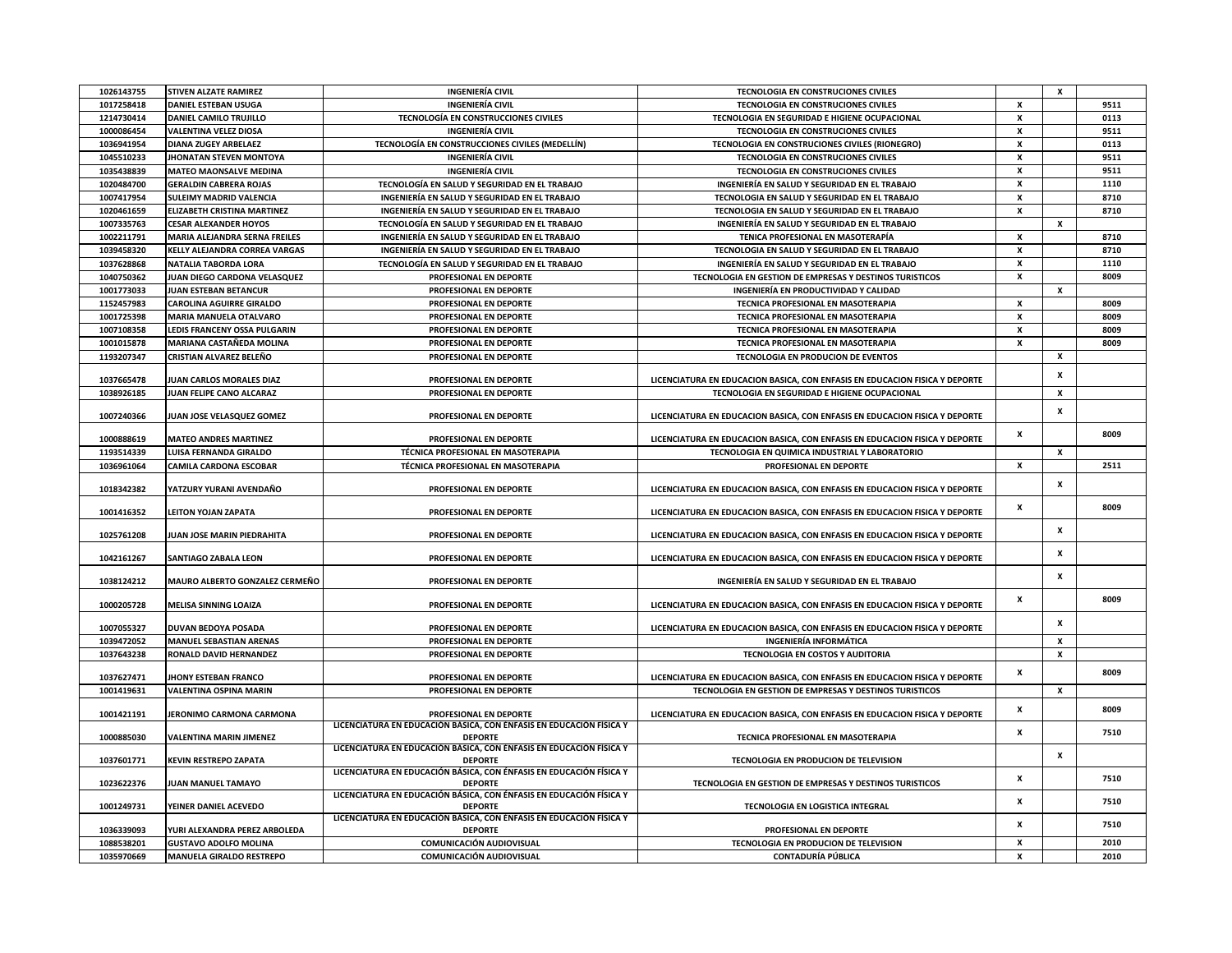| 1017258418<br><b>DANIEL ESTEBAN USUGA</b><br>INGENIERÍA CIVIL<br>TECNOLOGIA EN CONSTRUCIONES CIVILES<br>x<br>9511<br>x<br>0113<br><b>DANIEL CAMILO TRUJILLO</b><br>TECNOLOGÍA EN CONSTRUCCIONES CIVILES<br>TECNOLOGIA EN SEGURIDAD E HIGIENE OCUPACIONAL<br>1214730414<br><b>VALENTINA VELEZ DIOSA</b><br><b>INGENIERÍA CIVIL</b><br>TECNOLOGIA EN CONSTRUCIONES CIVILES<br>x<br>9511<br>1000086454<br>TECNOLOGÍA EN CONSTRUCCIONES CIVILES (MEDELLÍN)<br>TECNOLOGIA EN CONSTRUCIONES CIVILES (RIONEGRO)<br>x<br>0113<br>1036941954<br><b>DIANA ZUGEY ARBELAEZ</b><br>x<br>9511<br>1045510233<br><b>JHONATAN STEVEN MONTOYA</b><br><b>INGENIERÍA CIVIL</b><br>TECNOLOGIA EN CONSTRUCIONES CIVILES<br>x<br>9511<br>1035438839<br><b>MATEO MAONSALVE MEDINA</b><br><b>INGENIERÍA CIVIL</b><br>TECNOLOGIA EN CONSTRUCIONES CIVILES<br>1020484700<br><b>GERALDIN CABRERA ROJAS</b><br>TECNOLOGÍA EN SALUD Y SEGURIDAD EN EL TRABAJO<br>INGENIERÍA EN SALUD Y SEGURIDAD EN EL TRABAJO<br>x<br>1110<br>1007417954<br><b>SULEIMY MADRID VALENCIA</b><br>INGENIERÍA EN SALUD Y SEGURIDAD EN EL TRABAJO<br>TECNOLOGIA EN SALUD Y SEGURIDAD EN EL TRABAJO<br>X<br>8710<br>x<br>8710<br>1020461659<br><b>ELIZABETH CRISTINA MARTINEZ</b><br>INGENIERÍA EN SALUD Y SEGURIDAD EN EL TRABAJO<br>TECNOLOGIA EN SALUD Y SEGURIDAD EN EL TRABAJO<br>1007335763<br><b>CESAR ALEXANDER HOYOS</b><br>TECNOLOGÍA EN SALUD Y SEGURIDAD EN EL TRABAJO<br>INGENIERÍA EN SALUD Y SEGURIDAD EN EL TRABAJO<br>x<br>1002211791<br>MARIA ALEJANDRA SERNA FREILES<br>INGENIERÍA EN SALUD Y SEGURIDAD EN EL TRABAJO<br>TENICA PROFESIONAL EN MASOTERAPÍA<br>x<br>8710<br>1039458320<br>KELLY ALEJANDRA CORREA VARGAS<br>INGENIERÍA EN SALUD Y SEGURIDAD EN EL TRABAJO<br>TECNOLOGIA EN SALUD Y SEGURIDAD EN EL TRABAJO<br>x<br>8710<br>x<br>1110<br>1037628868<br>TECNOLOGÍA EN SALUD Y SEGURIDAD EN EL TRABAJO<br>INGENIERÍA EN SALUD Y SEGURIDAD EN EL TRABAJO<br>NATALIA TABORDA LORA<br>x<br>1040750362<br>JUAN DIEGO CARDONA VELASQUEZ<br>PROFESIONAL EN DEPORTE<br>TECNOLOGIA EN GESTION DE EMPRESAS Y DESTINOS TURISTICOS<br>8009<br>X<br>1001773033<br>JUAN ESTEBAN BETANCUR<br>PROFESIONAL EN DEPORTE<br>INGENIERÍA EN PRODUCTIVIDAD Y CALIDAD<br>1152457983<br><b>CAROLINA AGUIRRE GIRALDO</b><br>TECNICA PROFESIONAL EN MASOTERAPIA<br>PROFESIONAL EN DEPORTE<br>x<br>8009<br>$\pmb{\chi}$<br>8009<br>1001725398<br>MARIA MANUELA OTALVARO<br>PROFESIONAL EN DEPORTE<br>TECNICA PROFESIONAL EN MASOTERAPIA<br>x<br>1007108358<br>LEDIS FRANCENY OSSA PULGARIN<br>PROFESIONAL EN DEPORTE<br>TECNICA PROFESIONAL EN MASOTERAPIA<br>8009<br>1001015878<br>MARIANA CASTAÑEDA MOLINA<br>PROFESIONAL EN DEPORTE<br>TECNICA PROFESIONAL EN MASOTERAPIA<br>x<br>8009<br>1193207347<br>CRISTIAN ALVAREZ BELEÑO<br>PROFESIONAL EN DEPORTE<br>TECNOLOGIA EN PRODUCION DE EVENTOS<br>X<br>$\pmb{\chi}$<br>1037665478<br>JUAN CARLOS MORALES DIAZ<br>PROFESIONAL EN DEPORTE<br>LICENCIATURA EN EDUCACION BASICA, CON ENFASIS EN EDUCACION FISICA Y DEPORTE<br>1038926185<br>JUAN FELIPE CANO ALCARAZ<br>PROFESIONAL EN DEPORTE<br>TECNOLOGIA EN SEGURIDAD E HIGIENE OCUPACIONAL<br>X<br>X<br>1007240366<br>JUAN JOSE VELASQUEZ GOMEZ<br>PROFESIONAL EN DEPORTE<br>LICENCIATURA EN EDUCACION BASICA, CON ENFASIS EN EDUCACION FISICA Y DEPORTE<br>x<br>8009<br>1000888619<br><b>MATEO ANDRES MARTINEZ</b><br>PROFESIONAL EN DEPORTE<br>LICENCIATURA EN EDUCACION BASICA, CON ENFASIS EN EDUCACION FISICA Y DEPORTE<br>TÉCNICA PROFESIONAL EN MASOTERAPIA<br>X<br>1193514339<br>LUISA FERNANDA GIRALDO<br>TECNOLOGIA EN QUIMICA INDUSTRIAL Y LABORATORIO<br>1036961064<br><b>CAMILA CARDONA ESCOBAR</b><br>TÉCNICA PROFESIONAL EN MASOTERAPIA<br>PROFESIONAL EN DEPORTE<br>x<br>2511<br>X<br>1018342382<br>YATZURY YURANI AVENDAÑO<br>PROFESIONAL EN DEPORTE<br>LICENCIATURA EN EDUCACION BASICA, CON ENFASIS EN EDUCACION FISICA Y DEPORTE<br>x<br>8009<br>1001416352<br>LEITON YOJAN ZAPATA<br>PROFESIONAL EN DEPORTE<br>LICENCIATURA EN EDUCACION BASICA, CON ENFASIS EN EDUCACION FISICA Y DEPORTE<br>X<br>1025761208<br>JUAN JOSE MARIN PIEDRAHITA<br>PROFESIONAL EN DEPORTE<br>LICENCIATURA EN EDUCACION BASICA, CON ENFASIS EN EDUCACION FISICA Y DEPORTE<br>$\pmb{\chi}$<br>1042161267<br>PROFESIONAL EN DEPORTE<br>LICENCIATURA EN EDUCACION BASICA, CON ENFASIS EN EDUCACION FISICA Y DEPORTE<br>SANTIAGO ZABALA LEON<br>$\pmb{\chi}$<br>1038124212<br>MAURO ALBERTO GONZALEZ CERMEÑO<br>PROFESIONAL EN DEPORTE<br>INGENIERÍA EN SALUD Y SEGURIDAD EN EL TRABAJO<br>x<br>8009<br>1000205728<br>MELISA SINNING LOAIZA<br>PROFESIONAL EN DEPORTE<br>LICENCIATURA EN EDUCACION BASICA, CON ENFASIS EN EDUCACION FISICA Y DEPORTE<br>$\mathbf{x}$<br>1007055327<br>DUVAN BEDOYA POSADA<br>PROFESIONAL EN DEPORTE<br>LICENCIATURA EN EDUCACION BASICA, CON ENFASIS EN EDUCACION FISICA Y DEPORTE<br>1039472052<br><b>MANUEL SEBASTIAN ARENAS</b><br>PROFESIONAL EN DEPORTE<br><b>INGENIERÍA INFORMÁTICA</b><br>X<br>1037643238<br>RONALD DAVID HERNANDEZ<br>PROFESIONAL EN DEPORTE<br>TECNOLOGIA EN COSTOS Y AUDITORIA<br>X<br>$\mathbf{x}$<br>8009<br>1037627471<br><b>HONY ESTEBAN FRANCO</b><br>PROFESIONAL EN DEPORTE<br>LICENCIATURA EN EDUCACION BASICA. CON ENFASIS EN EDUCACION FISICA Y DEPORTE<br>1001419631<br><b>VALENTINA OSPINA MARIN</b><br>PROFESIONAL EN DEPORTE<br>TECNOLOGIA EN GESTION DE EMPRESAS Y DESTINOS TURISTICOS<br>X<br>x<br>8009<br>1001421191<br>JERONIMO CARMONA CARMONA<br>PROFESIONAL EN DEPORTE<br>LICENCIATURA EN EDUCACION BASICA, CON ENFASIS EN EDUCACION FISICA Y DEPORTE<br>LICENCIATURA EN EDUCACIÓN BÁSICA, CON ÉNFASIS EN EDUCACIÓN FÍSICA Y<br>x<br>7510<br>1000885030<br><b>VALENTINA MARIN JIMENEZ</b><br>TECNICA PROFESIONAL EN MASOTERAPIA<br><b>DEPORTE</b><br>LICENCIATURA EN EDUCACIÓN BÁSICA, CON ÉNFASIS EN EDUCACIÓN FÍSICA Y<br>X<br>1037601771<br><b>KEVIN RESTREPO ZAPATA</b><br><b>DEPORTE</b><br>TECNOLOGIA EN PRODUCION DE TELEVISION<br>LICENCIATURA EN EDUCACIÓN BÁSICA, CON ÉNFASIS EN EDUCACIÓN FÍSICA Y<br>x<br>7510<br>1023622376<br><b>DEPORTE</b><br>TECNOLOGIA EN GESTION DE EMPRESAS Y DESTINOS TURISTICOS<br>JUAN MANUEL TAMAYO<br>LICENCIATURA EN EDUCACIÓN BÁSICA, CON ÉNFASIS EN EDUCACIÓN FÍSICA Y<br>x<br>7510<br>1001249731<br>YEINER DANIEL ACEVEDO<br><b>DEPORTE</b><br>TECNOLOGIA EN LOGISTICA INTEGRAL<br>LICENCIATURA EN EDUCACIÓN BÁSICA, CON ÉNFASIS EN EDUCACIÓN FÍSICA Y<br>x<br>7510<br>YURI ALEXANDRA PEREZ ARBOLEDA<br>1036339093<br><b>DEPORTE</b><br>PROFESIONAL EN DEPORTE<br>1088538201<br><b>GUSTAVO ADOLFO MOLINA</b><br>COMUNICACIÓN AUDIOVISUAL<br>TECNOLOGIA EN PRODUCION DE TELEVISION<br>x<br>2010<br>1035970669<br>MANUELA GIRALDO RESTREPO<br>COMUNICACIÓN AUDIOVISUAL<br><b>CONTADURÍA PÚBLICA</b><br>X<br>2010 | 1026143755 | <b>STIVEN ALZATE RAMIREZ</b> | <b>INGENIERÍA CIVIL</b> | TECNOLOGIA EN CONSTRUCIONES CIVILES | $\boldsymbol{x}$ |  |
|-------------------------------------------------------------------------------------------------------------------------------------------------------------------------------------------------------------------------------------------------------------------------------------------------------------------------------------------------------------------------------------------------------------------------------------------------------------------------------------------------------------------------------------------------------------------------------------------------------------------------------------------------------------------------------------------------------------------------------------------------------------------------------------------------------------------------------------------------------------------------------------------------------------------------------------------------------------------------------------------------------------------------------------------------------------------------------------------------------------------------------------------------------------------------------------------------------------------------------------------------------------------------------------------------------------------------------------------------------------------------------------------------------------------------------------------------------------------------------------------------------------------------------------------------------------------------------------------------------------------------------------------------------------------------------------------------------------------------------------------------------------------------------------------------------------------------------------------------------------------------------------------------------------------------------------------------------------------------------------------------------------------------------------------------------------------------------------------------------------------------------------------------------------------------------------------------------------------------------------------------------------------------------------------------------------------------------------------------------------------------------------------------------------------------------------------------------------------------------------------------------------------------------------------------------------------------------------------------------------------------------------------------------------------------------------------------------------------------------------------------------------------------------------------------------------------------------------------------------------------------------------------------------------------------------------------------------------------------------------------------------------------------------------------------------------------------------------------------------------------------------------------------------------------------------------------------------------------------------------------------------------------------------------------------------------------------------------------------------------------------------------------------------------------------------------------------------------------------------------------------------------------------------------------------------------------------------------------------------------------------------------------------------------------------------------------------------------------------------------------------------------------------------------------------------------------------------------------------------------------------------------------------------------------------------------------------------------------------------------------------------------------------------------------------------------------------------------------------------------------------------------------------------------------------------------------------------------------------------------------------------------------------------------------------------------------------------------------------------------------------------------------------------------------------------------------------------------------------------------------------------------------------------------------------------------------------------------------------------------------------------------------------------------------------------------------------------------------------------------------------------------------------------------------------------------------------------------------------------------------------------------------------------------------------------------------------------------------------------------------------------------------------------------------------------------------------------------------------------------------------------------------------------------------------------------------------------------------------------------------------------------------------------------------------------------------------------------------------------------------------------------------------------------------------------------------------------------------------------------------------------------------------------------------------------------------------------------------------------------------------------------------------------------------------------------------------------------------------------------------------------------------------------------------------------------------------------------------------------------------------------------------------------------------------------------------------------------------------------------------------------------------------------------------------------------------------------------------------------------------------------------------------------------------------------------------------------------------------------------------------------------------------------------------------------------------------------------------------------------------------------------------------------------------------------------------------------------------------------------------------------------------------------------------------------------------------------------------------------------------------------------------------------------------------------------------------------------------------------------------------------------------------------------------|------------|------------------------------|-------------------------|-------------------------------------|------------------|--|
|                                                                                                                                                                                                                                                                                                                                                                                                                                                                                                                                                                                                                                                                                                                                                                                                                                                                                                                                                                                                                                                                                                                                                                                                                                                                                                                                                                                                                                                                                                                                                                                                                                                                                                                                                                                                                                                                                                                                                                                                                                                                                                                                                                                                                                                                                                                                                                                                                                                                                                                                                                                                                                                                                                                                                                                                                                                                                                                                                                                                                                                                                                                                                                                                                                                                                                                                                                                                                                                                                                                                                                                                                                                                                                                                                                                                                                                                                                                                                                                                                                                                                                                                                                                                                                                                                                                                                                                                                                                                                                                                                                                                                                                                                                                                                                                                                                                                                                                                                                                                                                                                                                                                                                                                                                                                                                                                                                                                                                                                                                                                                                                                                                                                                                                                                                                                                                                                                                                                                                                                                                                                                                                                                                                                                                                                                                                                                                                                                                                                                                                                                                                                                                                                                                                                                                                           |            |                              |                         |                                     |                  |  |
|                                                                                                                                                                                                                                                                                                                                                                                                                                                                                                                                                                                                                                                                                                                                                                                                                                                                                                                                                                                                                                                                                                                                                                                                                                                                                                                                                                                                                                                                                                                                                                                                                                                                                                                                                                                                                                                                                                                                                                                                                                                                                                                                                                                                                                                                                                                                                                                                                                                                                                                                                                                                                                                                                                                                                                                                                                                                                                                                                                                                                                                                                                                                                                                                                                                                                                                                                                                                                                                                                                                                                                                                                                                                                                                                                                                                                                                                                                                                                                                                                                                                                                                                                                                                                                                                                                                                                                                                                                                                                                                                                                                                                                                                                                                                                                                                                                                                                                                                                                                                                                                                                                                                                                                                                                                                                                                                                                                                                                                                                                                                                                                                                                                                                                                                                                                                                                                                                                                                                                                                                                                                                                                                                                                                                                                                                                                                                                                                                                                                                                                                                                                                                                                                                                                                                                                           |            |                              |                         |                                     |                  |  |
|                                                                                                                                                                                                                                                                                                                                                                                                                                                                                                                                                                                                                                                                                                                                                                                                                                                                                                                                                                                                                                                                                                                                                                                                                                                                                                                                                                                                                                                                                                                                                                                                                                                                                                                                                                                                                                                                                                                                                                                                                                                                                                                                                                                                                                                                                                                                                                                                                                                                                                                                                                                                                                                                                                                                                                                                                                                                                                                                                                                                                                                                                                                                                                                                                                                                                                                                                                                                                                                                                                                                                                                                                                                                                                                                                                                                                                                                                                                                                                                                                                                                                                                                                                                                                                                                                                                                                                                                                                                                                                                                                                                                                                                                                                                                                                                                                                                                                                                                                                                                                                                                                                                                                                                                                                                                                                                                                                                                                                                                                                                                                                                                                                                                                                                                                                                                                                                                                                                                                                                                                                                                                                                                                                                                                                                                                                                                                                                                                                                                                                                                                                                                                                                                                                                                                                                           |            |                              |                         |                                     |                  |  |
|                                                                                                                                                                                                                                                                                                                                                                                                                                                                                                                                                                                                                                                                                                                                                                                                                                                                                                                                                                                                                                                                                                                                                                                                                                                                                                                                                                                                                                                                                                                                                                                                                                                                                                                                                                                                                                                                                                                                                                                                                                                                                                                                                                                                                                                                                                                                                                                                                                                                                                                                                                                                                                                                                                                                                                                                                                                                                                                                                                                                                                                                                                                                                                                                                                                                                                                                                                                                                                                                                                                                                                                                                                                                                                                                                                                                                                                                                                                                                                                                                                                                                                                                                                                                                                                                                                                                                                                                                                                                                                                                                                                                                                                                                                                                                                                                                                                                                                                                                                                                                                                                                                                                                                                                                                                                                                                                                                                                                                                                                                                                                                                                                                                                                                                                                                                                                                                                                                                                                                                                                                                                                                                                                                                                                                                                                                                                                                                                                                                                                                                                                                                                                                                                                                                                                                                           |            |                              |                         |                                     |                  |  |
|                                                                                                                                                                                                                                                                                                                                                                                                                                                                                                                                                                                                                                                                                                                                                                                                                                                                                                                                                                                                                                                                                                                                                                                                                                                                                                                                                                                                                                                                                                                                                                                                                                                                                                                                                                                                                                                                                                                                                                                                                                                                                                                                                                                                                                                                                                                                                                                                                                                                                                                                                                                                                                                                                                                                                                                                                                                                                                                                                                                                                                                                                                                                                                                                                                                                                                                                                                                                                                                                                                                                                                                                                                                                                                                                                                                                                                                                                                                                                                                                                                                                                                                                                                                                                                                                                                                                                                                                                                                                                                                                                                                                                                                                                                                                                                                                                                                                                                                                                                                                                                                                                                                                                                                                                                                                                                                                                                                                                                                                                                                                                                                                                                                                                                                                                                                                                                                                                                                                                                                                                                                                                                                                                                                                                                                                                                                                                                                                                                                                                                                                                                                                                                                                                                                                                                                           |            |                              |                         |                                     |                  |  |
|                                                                                                                                                                                                                                                                                                                                                                                                                                                                                                                                                                                                                                                                                                                                                                                                                                                                                                                                                                                                                                                                                                                                                                                                                                                                                                                                                                                                                                                                                                                                                                                                                                                                                                                                                                                                                                                                                                                                                                                                                                                                                                                                                                                                                                                                                                                                                                                                                                                                                                                                                                                                                                                                                                                                                                                                                                                                                                                                                                                                                                                                                                                                                                                                                                                                                                                                                                                                                                                                                                                                                                                                                                                                                                                                                                                                                                                                                                                                                                                                                                                                                                                                                                                                                                                                                                                                                                                                                                                                                                                                                                                                                                                                                                                                                                                                                                                                                                                                                                                                                                                                                                                                                                                                                                                                                                                                                                                                                                                                                                                                                                                                                                                                                                                                                                                                                                                                                                                                                                                                                                                                                                                                                                                                                                                                                                                                                                                                                                                                                                                                                                                                                                                                                                                                                                                           |            |                              |                         |                                     |                  |  |
|                                                                                                                                                                                                                                                                                                                                                                                                                                                                                                                                                                                                                                                                                                                                                                                                                                                                                                                                                                                                                                                                                                                                                                                                                                                                                                                                                                                                                                                                                                                                                                                                                                                                                                                                                                                                                                                                                                                                                                                                                                                                                                                                                                                                                                                                                                                                                                                                                                                                                                                                                                                                                                                                                                                                                                                                                                                                                                                                                                                                                                                                                                                                                                                                                                                                                                                                                                                                                                                                                                                                                                                                                                                                                                                                                                                                                                                                                                                                                                                                                                                                                                                                                                                                                                                                                                                                                                                                                                                                                                                                                                                                                                                                                                                                                                                                                                                                                                                                                                                                                                                                                                                                                                                                                                                                                                                                                                                                                                                                                                                                                                                                                                                                                                                                                                                                                                                                                                                                                                                                                                                                                                                                                                                                                                                                                                                                                                                                                                                                                                                                                                                                                                                                                                                                                                                           |            |                              |                         |                                     |                  |  |
|                                                                                                                                                                                                                                                                                                                                                                                                                                                                                                                                                                                                                                                                                                                                                                                                                                                                                                                                                                                                                                                                                                                                                                                                                                                                                                                                                                                                                                                                                                                                                                                                                                                                                                                                                                                                                                                                                                                                                                                                                                                                                                                                                                                                                                                                                                                                                                                                                                                                                                                                                                                                                                                                                                                                                                                                                                                                                                                                                                                                                                                                                                                                                                                                                                                                                                                                                                                                                                                                                                                                                                                                                                                                                                                                                                                                                                                                                                                                                                                                                                                                                                                                                                                                                                                                                                                                                                                                                                                                                                                                                                                                                                                                                                                                                                                                                                                                                                                                                                                                                                                                                                                                                                                                                                                                                                                                                                                                                                                                                                                                                                                                                                                                                                                                                                                                                                                                                                                                                                                                                                                                                                                                                                                                                                                                                                                                                                                                                                                                                                                                                                                                                                                                                                                                                                                           |            |                              |                         |                                     |                  |  |
|                                                                                                                                                                                                                                                                                                                                                                                                                                                                                                                                                                                                                                                                                                                                                                                                                                                                                                                                                                                                                                                                                                                                                                                                                                                                                                                                                                                                                                                                                                                                                                                                                                                                                                                                                                                                                                                                                                                                                                                                                                                                                                                                                                                                                                                                                                                                                                                                                                                                                                                                                                                                                                                                                                                                                                                                                                                                                                                                                                                                                                                                                                                                                                                                                                                                                                                                                                                                                                                                                                                                                                                                                                                                                                                                                                                                                                                                                                                                                                                                                                                                                                                                                                                                                                                                                                                                                                                                                                                                                                                                                                                                                                                                                                                                                                                                                                                                                                                                                                                                                                                                                                                                                                                                                                                                                                                                                                                                                                                                                                                                                                                                                                                                                                                                                                                                                                                                                                                                                                                                                                                                                                                                                                                                                                                                                                                                                                                                                                                                                                                                                                                                                                                                                                                                                                                           |            |                              |                         |                                     |                  |  |
|                                                                                                                                                                                                                                                                                                                                                                                                                                                                                                                                                                                                                                                                                                                                                                                                                                                                                                                                                                                                                                                                                                                                                                                                                                                                                                                                                                                                                                                                                                                                                                                                                                                                                                                                                                                                                                                                                                                                                                                                                                                                                                                                                                                                                                                                                                                                                                                                                                                                                                                                                                                                                                                                                                                                                                                                                                                                                                                                                                                                                                                                                                                                                                                                                                                                                                                                                                                                                                                                                                                                                                                                                                                                                                                                                                                                                                                                                                                                                                                                                                                                                                                                                                                                                                                                                                                                                                                                                                                                                                                                                                                                                                                                                                                                                                                                                                                                                                                                                                                                                                                                                                                                                                                                                                                                                                                                                                                                                                                                                                                                                                                                                                                                                                                                                                                                                                                                                                                                                                                                                                                                                                                                                                                                                                                                                                                                                                                                                                                                                                                                                                                                                                                                                                                                                                                           |            |                              |                         |                                     |                  |  |
|                                                                                                                                                                                                                                                                                                                                                                                                                                                                                                                                                                                                                                                                                                                                                                                                                                                                                                                                                                                                                                                                                                                                                                                                                                                                                                                                                                                                                                                                                                                                                                                                                                                                                                                                                                                                                                                                                                                                                                                                                                                                                                                                                                                                                                                                                                                                                                                                                                                                                                                                                                                                                                                                                                                                                                                                                                                                                                                                                                                                                                                                                                                                                                                                                                                                                                                                                                                                                                                                                                                                                                                                                                                                                                                                                                                                                                                                                                                                                                                                                                                                                                                                                                                                                                                                                                                                                                                                                                                                                                                                                                                                                                                                                                                                                                                                                                                                                                                                                                                                                                                                                                                                                                                                                                                                                                                                                                                                                                                                                                                                                                                                                                                                                                                                                                                                                                                                                                                                                                                                                                                                                                                                                                                                                                                                                                                                                                                                                                                                                                                                                                                                                                                                                                                                                                                           |            |                              |                         |                                     |                  |  |
|                                                                                                                                                                                                                                                                                                                                                                                                                                                                                                                                                                                                                                                                                                                                                                                                                                                                                                                                                                                                                                                                                                                                                                                                                                                                                                                                                                                                                                                                                                                                                                                                                                                                                                                                                                                                                                                                                                                                                                                                                                                                                                                                                                                                                                                                                                                                                                                                                                                                                                                                                                                                                                                                                                                                                                                                                                                                                                                                                                                                                                                                                                                                                                                                                                                                                                                                                                                                                                                                                                                                                                                                                                                                                                                                                                                                                                                                                                                                                                                                                                                                                                                                                                                                                                                                                                                                                                                                                                                                                                                                                                                                                                                                                                                                                                                                                                                                                                                                                                                                                                                                                                                                                                                                                                                                                                                                                                                                                                                                                                                                                                                                                                                                                                                                                                                                                                                                                                                                                                                                                                                                                                                                                                                                                                                                                                                                                                                                                                                                                                                                                                                                                                                                                                                                                                                           |            |                              |                         |                                     |                  |  |
|                                                                                                                                                                                                                                                                                                                                                                                                                                                                                                                                                                                                                                                                                                                                                                                                                                                                                                                                                                                                                                                                                                                                                                                                                                                                                                                                                                                                                                                                                                                                                                                                                                                                                                                                                                                                                                                                                                                                                                                                                                                                                                                                                                                                                                                                                                                                                                                                                                                                                                                                                                                                                                                                                                                                                                                                                                                                                                                                                                                                                                                                                                                                                                                                                                                                                                                                                                                                                                                                                                                                                                                                                                                                                                                                                                                                                                                                                                                                                                                                                                                                                                                                                                                                                                                                                                                                                                                                                                                                                                                                                                                                                                                                                                                                                                                                                                                                                                                                                                                                                                                                                                                                                                                                                                                                                                                                                                                                                                                                                                                                                                                                                                                                                                                                                                                                                                                                                                                                                                                                                                                                                                                                                                                                                                                                                                                                                                                                                                                                                                                                                                                                                                                                                                                                                                                           |            |                              |                         |                                     |                  |  |
|                                                                                                                                                                                                                                                                                                                                                                                                                                                                                                                                                                                                                                                                                                                                                                                                                                                                                                                                                                                                                                                                                                                                                                                                                                                                                                                                                                                                                                                                                                                                                                                                                                                                                                                                                                                                                                                                                                                                                                                                                                                                                                                                                                                                                                                                                                                                                                                                                                                                                                                                                                                                                                                                                                                                                                                                                                                                                                                                                                                                                                                                                                                                                                                                                                                                                                                                                                                                                                                                                                                                                                                                                                                                                                                                                                                                                                                                                                                                                                                                                                                                                                                                                                                                                                                                                                                                                                                                                                                                                                                                                                                                                                                                                                                                                                                                                                                                                                                                                                                                                                                                                                                                                                                                                                                                                                                                                                                                                                                                                                                                                                                                                                                                                                                                                                                                                                                                                                                                                                                                                                                                                                                                                                                                                                                                                                                                                                                                                                                                                                                                                                                                                                                                                                                                                                                           |            |                              |                         |                                     |                  |  |
|                                                                                                                                                                                                                                                                                                                                                                                                                                                                                                                                                                                                                                                                                                                                                                                                                                                                                                                                                                                                                                                                                                                                                                                                                                                                                                                                                                                                                                                                                                                                                                                                                                                                                                                                                                                                                                                                                                                                                                                                                                                                                                                                                                                                                                                                                                                                                                                                                                                                                                                                                                                                                                                                                                                                                                                                                                                                                                                                                                                                                                                                                                                                                                                                                                                                                                                                                                                                                                                                                                                                                                                                                                                                                                                                                                                                                                                                                                                                                                                                                                                                                                                                                                                                                                                                                                                                                                                                                                                                                                                                                                                                                                                                                                                                                                                                                                                                                                                                                                                                                                                                                                                                                                                                                                                                                                                                                                                                                                                                                                                                                                                                                                                                                                                                                                                                                                                                                                                                                                                                                                                                                                                                                                                                                                                                                                                                                                                                                                                                                                                                                                                                                                                                                                                                                                                           |            |                              |                         |                                     |                  |  |
|                                                                                                                                                                                                                                                                                                                                                                                                                                                                                                                                                                                                                                                                                                                                                                                                                                                                                                                                                                                                                                                                                                                                                                                                                                                                                                                                                                                                                                                                                                                                                                                                                                                                                                                                                                                                                                                                                                                                                                                                                                                                                                                                                                                                                                                                                                                                                                                                                                                                                                                                                                                                                                                                                                                                                                                                                                                                                                                                                                                                                                                                                                                                                                                                                                                                                                                                                                                                                                                                                                                                                                                                                                                                                                                                                                                                                                                                                                                                                                                                                                                                                                                                                                                                                                                                                                                                                                                                                                                                                                                                                                                                                                                                                                                                                                                                                                                                                                                                                                                                                                                                                                                                                                                                                                                                                                                                                                                                                                                                                                                                                                                                                                                                                                                                                                                                                                                                                                                                                                                                                                                                                                                                                                                                                                                                                                                                                                                                                                                                                                                                                                                                                                                                                                                                                                                           |            |                              |                         |                                     |                  |  |
|                                                                                                                                                                                                                                                                                                                                                                                                                                                                                                                                                                                                                                                                                                                                                                                                                                                                                                                                                                                                                                                                                                                                                                                                                                                                                                                                                                                                                                                                                                                                                                                                                                                                                                                                                                                                                                                                                                                                                                                                                                                                                                                                                                                                                                                                                                                                                                                                                                                                                                                                                                                                                                                                                                                                                                                                                                                                                                                                                                                                                                                                                                                                                                                                                                                                                                                                                                                                                                                                                                                                                                                                                                                                                                                                                                                                                                                                                                                                                                                                                                                                                                                                                                                                                                                                                                                                                                                                                                                                                                                                                                                                                                                                                                                                                                                                                                                                                                                                                                                                                                                                                                                                                                                                                                                                                                                                                                                                                                                                                                                                                                                                                                                                                                                                                                                                                                                                                                                                                                                                                                                                                                                                                                                                                                                                                                                                                                                                                                                                                                                                                                                                                                                                                                                                                                                           |            |                              |                         |                                     |                  |  |
|                                                                                                                                                                                                                                                                                                                                                                                                                                                                                                                                                                                                                                                                                                                                                                                                                                                                                                                                                                                                                                                                                                                                                                                                                                                                                                                                                                                                                                                                                                                                                                                                                                                                                                                                                                                                                                                                                                                                                                                                                                                                                                                                                                                                                                                                                                                                                                                                                                                                                                                                                                                                                                                                                                                                                                                                                                                                                                                                                                                                                                                                                                                                                                                                                                                                                                                                                                                                                                                                                                                                                                                                                                                                                                                                                                                                                                                                                                                                                                                                                                                                                                                                                                                                                                                                                                                                                                                                                                                                                                                                                                                                                                                                                                                                                                                                                                                                                                                                                                                                                                                                                                                                                                                                                                                                                                                                                                                                                                                                                                                                                                                                                                                                                                                                                                                                                                                                                                                                                                                                                                                                                                                                                                                                                                                                                                                                                                                                                                                                                                                                                                                                                                                                                                                                                                                           |            |                              |                         |                                     |                  |  |
|                                                                                                                                                                                                                                                                                                                                                                                                                                                                                                                                                                                                                                                                                                                                                                                                                                                                                                                                                                                                                                                                                                                                                                                                                                                                                                                                                                                                                                                                                                                                                                                                                                                                                                                                                                                                                                                                                                                                                                                                                                                                                                                                                                                                                                                                                                                                                                                                                                                                                                                                                                                                                                                                                                                                                                                                                                                                                                                                                                                                                                                                                                                                                                                                                                                                                                                                                                                                                                                                                                                                                                                                                                                                                                                                                                                                                                                                                                                                                                                                                                                                                                                                                                                                                                                                                                                                                                                                                                                                                                                                                                                                                                                                                                                                                                                                                                                                                                                                                                                                                                                                                                                                                                                                                                                                                                                                                                                                                                                                                                                                                                                                                                                                                                                                                                                                                                                                                                                                                                                                                                                                                                                                                                                                                                                                                                                                                                                                                                                                                                                                                                                                                                                                                                                                                                                           |            |                              |                         |                                     |                  |  |
|                                                                                                                                                                                                                                                                                                                                                                                                                                                                                                                                                                                                                                                                                                                                                                                                                                                                                                                                                                                                                                                                                                                                                                                                                                                                                                                                                                                                                                                                                                                                                                                                                                                                                                                                                                                                                                                                                                                                                                                                                                                                                                                                                                                                                                                                                                                                                                                                                                                                                                                                                                                                                                                                                                                                                                                                                                                                                                                                                                                                                                                                                                                                                                                                                                                                                                                                                                                                                                                                                                                                                                                                                                                                                                                                                                                                                                                                                                                                                                                                                                                                                                                                                                                                                                                                                                                                                                                                                                                                                                                                                                                                                                                                                                                                                                                                                                                                                                                                                                                                                                                                                                                                                                                                                                                                                                                                                                                                                                                                                                                                                                                                                                                                                                                                                                                                                                                                                                                                                                                                                                                                                                                                                                                                                                                                                                                                                                                                                                                                                                                                                                                                                                                                                                                                                                                           |            |                              |                         |                                     |                  |  |
|                                                                                                                                                                                                                                                                                                                                                                                                                                                                                                                                                                                                                                                                                                                                                                                                                                                                                                                                                                                                                                                                                                                                                                                                                                                                                                                                                                                                                                                                                                                                                                                                                                                                                                                                                                                                                                                                                                                                                                                                                                                                                                                                                                                                                                                                                                                                                                                                                                                                                                                                                                                                                                                                                                                                                                                                                                                                                                                                                                                                                                                                                                                                                                                                                                                                                                                                                                                                                                                                                                                                                                                                                                                                                                                                                                                                                                                                                                                                                                                                                                                                                                                                                                                                                                                                                                                                                                                                                                                                                                                                                                                                                                                                                                                                                                                                                                                                                                                                                                                                                                                                                                                                                                                                                                                                                                                                                                                                                                                                                                                                                                                                                                                                                                                                                                                                                                                                                                                                                                                                                                                                                                                                                                                                                                                                                                                                                                                                                                                                                                                                                                                                                                                                                                                                                                                           |            |                              |                         |                                     |                  |  |
|                                                                                                                                                                                                                                                                                                                                                                                                                                                                                                                                                                                                                                                                                                                                                                                                                                                                                                                                                                                                                                                                                                                                                                                                                                                                                                                                                                                                                                                                                                                                                                                                                                                                                                                                                                                                                                                                                                                                                                                                                                                                                                                                                                                                                                                                                                                                                                                                                                                                                                                                                                                                                                                                                                                                                                                                                                                                                                                                                                                                                                                                                                                                                                                                                                                                                                                                                                                                                                                                                                                                                                                                                                                                                                                                                                                                                                                                                                                                                                                                                                                                                                                                                                                                                                                                                                                                                                                                                                                                                                                                                                                                                                                                                                                                                                                                                                                                                                                                                                                                                                                                                                                                                                                                                                                                                                                                                                                                                                                                                                                                                                                                                                                                                                                                                                                                                                                                                                                                                                                                                                                                                                                                                                                                                                                                                                                                                                                                                                                                                                                                                                                                                                                                                                                                                                                           |            |                              |                         |                                     |                  |  |
|                                                                                                                                                                                                                                                                                                                                                                                                                                                                                                                                                                                                                                                                                                                                                                                                                                                                                                                                                                                                                                                                                                                                                                                                                                                                                                                                                                                                                                                                                                                                                                                                                                                                                                                                                                                                                                                                                                                                                                                                                                                                                                                                                                                                                                                                                                                                                                                                                                                                                                                                                                                                                                                                                                                                                                                                                                                                                                                                                                                                                                                                                                                                                                                                                                                                                                                                                                                                                                                                                                                                                                                                                                                                                                                                                                                                                                                                                                                                                                                                                                                                                                                                                                                                                                                                                                                                                                                                                                                                                                                                                                                                                                                                                                                                                                                                                                                                                                                                                                                                                                                                                                                                                                                                                                                                                                                                                                                                                                                                                                                                                                                                                                                                                                                                                                                                                                                                                                                                                                                                                                                                                                                                                                                                                                                                                                                                                                                                                                                                                                                                                                                                                                                                                                                                                                                           |            |                              |                         |                                     |                  |  |
|                                                                                                                                                                                                                                                                                                                                                                                                                                                                                                                                                                                                                                                                                                                                                                                                                                                                                                                                                                                                                                                                                                                                                                                                                                                                                                                                                                                                                                                                                                                                                                                                                                                                                                                                                                                                                                                                                                                                                                                                                                                                                                                                                                                                                                                                                                                                                                                                                                                                                                                                                                                                                                                                                                                                                                                                                                                                                                                                                                                                                                                                                                                                                                                                                                                                                                                                                                                                                                                                                                                                                                                                                                                                                                                                                                                                                                                                                                                                                                                                                                                                                                                                                                                                                                                                                                                                                                                                                                                                                                                                                                                                                                                                                                                                                                                                                                                                                                                                                                                                                                                                                                                                                                                                                                                                                                                                                                                                                                                                                                                                                                                                                                                                                                                                                                                                                                                                                                                                                                                                                                                                                                                                                                                                                                                                                                                                                                                                                                                                                                                                                                                                                                                                                                                                                                                           |            |                              |                         |                                     |                  |  |
|                                                                                                                                                                                                                                                                                                                                                                                                                                                                                                                                                                                                                                                                                                                                                                                                                                                                                                                                                                                                                                                                                                                                                                                                                                                                                                                                                                                                                                                                                                                                                                                                                                                                                                                                                                                                                                                                                                                                                                                                                                                                                                                                                                                                                                                                                                                                                                                                                                                                                                                                                                                                                                                                                                                                                                                                                                                                                                                                                                                                                                                                                                                                                                                                                                                                                                                                                                                                                                                                                                                                                                                                                                                                                                                                                                                                                                                                                                                                                                                                                                                                                                                                                                                                                                                                                                                                                                                                                                                                                                                                                                                                                                                                                                                                                                                                                                                                                                                                                                                                                                                                                                                                                                                                                                                                                                                                                                                                                                                                                                                                                                                                                                                                                                                                                                                                                                                                                                                                                                                                                                                                                                                                                                                                                                                                                                                                                                                                                                                                                                                                                                                                                                                                                                                                                                                           |            |                              |                         |                                     |                  |  |
|                                                                                                                                                                                                                                                                                                                                                                                                                                                                                                                                                                                                                                                                                                                                                                                                                                                                                                                                                                                                                                                                                                                                                                                                                                                                                                                                                                                                                                                                                                                                                                                                                                                                                                                                                                                                                                                                                                                                                                                                                                                                                                                                                                                                                                                                                                                                                                                                                                                                                                                                                                                                                                                                                                                                                                                                                                                                                                                                                                                                                                                                                                                                                                                                                                                                                                                                                                                                                                                                                                                                                                                                                                                                                                                                                                                                                                                                                                                                                                                                                                                                                                                                                                                                                                                                                                                                                                                                                                                                                                                                                                                                                                                                                                                                                                                                                                                                                                                                                                                                                                                                                                                                                                                                                                                                                                                                                                                                                                                                                                                                                                                                                                                                                                                                                                                                                                                                                                                                                                                                                                                                                                                                                                                                                                                                                                                                                                                                                                                                                                                                                                                                                                                                                                                                                                                           |            |                              |                         |                                     |                  |  |
|                                                                                                                                                                                                                                                                                                                                                                                                                                                                                                                                                                                                                                                                                                                                                                                                                                                                                                                                                                                                                                                                                                                                                                                                                                                                                                                                                                                                                                                                                                                                                                                                                                                                                                                                                                                                                                                                                                                                                                                                                                                                                                                                                                                                                                                                                                                                                                                                                                                                                                                                                                                                                                                                                                                                                                                                                                                                                                                                                                                                                                                                                                                                                                                                                                                                                                                                                                                                                                                                                                                                                                                                                                                                                                                                                                                                                                                                                                                                                                                                                                                                                                                                                                                                                                                                                                                                                                                                                                                                                                                                                                                                                                                                                                                                                                                                                                                                                                                                                                                                                                                                                                                                                                                                                                                                                                                                                                                                                                                                                                                                                                                                                                                                                                                                                                                                                                                                                                                                                                                                                                                                                                                                                                                                                                                                                                                                                                                                                                                                                                                                                                                                                                                                                                                                                                                           |            |                              |                         |                                     |                  |  |
|                                                                                                                                                                                                                                                                                                                                                                                                                                                                                                                                                                                                                                                                                                                                                                                                                                                                                                                                                                                                                                                                                                                                                                                                                                                                                                                                                                                                                                                                                                                                                                                                                                                                                                                                                                                                                                                                                                                                                                                                                                                                                                                                                                                                                                                                                                                                                                                                                                                                                                                                                                                                                                                                                                                                                                                                                                                                                                                                                                                                                                                                                                                                                                                                                                                                                                                                                                                                                                                                                                                                                                                                                                                                                                                                                                                                                                                                                                                                                                                                                                                                                                                                                                                                                                                                                                                                                                                                                                                                                                                                                                                                                                                                                                                                                                                                                                                                                                                                                                                                                                                                                                                                                                                                                                                                                                                                                                                                                                                                                                                                                                                                                                                                                                                                                                                                                                                                                                                                                                                                                                                                                                                                                                                                                                                                                                                                                                                                                                                                                                                                                                                                                                                                                                                                                                                           |            |                              |                         |                                     |                  |  |
|                                                                                                                                                                                                                                                                                                                                                                                                                                                                                                                                                                                                                                                                                                                                                                                                                                                                                                                                                                                                                                                                                                                                                                                                                                                                                                                                                                                                                                                                                                                                                                                                                                                                                                                                                                                                                                                                                                                                                                                                                                                                                                                                                                                                                                                                                                                                                                                                                                                                                                                                                                                                                                                                                                                                                                                                                                                                                                                                                                                                                                                                                                                                                                                                                                                                                                                                                                                                                                                                                                                                                                                                                                                                                                                                                                                                                                                                                                                                                                                                                                                                                                                                                                                                                                                                                                                                                                                                                                                                                                                                                                                                                                                                                                                                                                                                                                                                                                                                                                                                                                                                                                                                                                                                                                                                                                                                                                                                                                                                                                                                                                                                                                                                                                                                                                                                                                                                                                                                                                                                                                                                                                                                                                                                                                                                                                                                                                                                                                                                                                                                                                                                                                                                                                                                                                                           |            |                              |                         |                                     |                  |  |
|                                                                                                                                                                                                                                                                                                                                                                                                                                                                                                                                                                                                                                                                                                                                                                                                                                                                                                                                                                                                                                                                                                                                                                                                                                                                                                                                                                                                                                                                                                                                                                                                                                                                                                                                                                                                                                                                                                                                                                                                                                                                                                                                                                                                                                                                                                                                                                                                                                                                                                                                                                                                                                                                                                                                                                                                                                                                                                                                                                                                                                                                                                                                                                                                                                                                                                                                                                                                                                                                                                                                                                                                                                                                                                                                                                                                                                                                                                                                                                                                                                                                                                                                                                                                                                                                                                                                                                                                                                                                                                                                                                                                                                                                                                                                                                                                                                                                                                                                                                                                                                                                                                                                                                                                                                                                                                                                                                                                                                                                                                                                                                                                                                                                                                                                                                                                                                                                                                                                                                                                                                                                                                                                                                                                                                                                                                                                                                                                                                                                                                                                                                                                                                                                                                                                                                                           |            |                              |                         |                                     |                  |  |
|                                                                                                                                                                                                                                                                                                                                                                                                                                                                                                                                                                                                                                                                                                                                                                                                                                                                                                                                                                                                                                                                                                                                                                                                                                                                                                                                                                                                                                                                                                                                                                                                                                                                                                                                                                                                                                                                                                                                                                                                                                                                                                                                                                                                                                                                                                                                                                                                                                                                                                                                                                                                                                                                                                                                                                                                                                                                                                                                                                                                                                                                                                                                                                                                                                                                                                                                                                                                                                                                                                                                                                                                                                                                                                                                                                                                                                                                                                                                                                                                                                                                                                                                                                                                                                                                                                                                                                                                                                                                                                                                                                                                                                                                                                                                                                                                                                                                                                                                                                                                                                                                                                                                                                                                                                                                                                                                                                                                                                                                                                                                                                                                                                                                                                                                                                                                                                                                                                                                                                                                                                                                                                                                                                                                                                                                                                                                                                                                                                                                                                                                                                                                                                                                                                                                                                                           |            |                              |                         |                                     |                  |  |
|                                                                                                                                                                                                                                                                                                                                                                                                                                                                                                                                                                                                                                                                                                                                                                                                                                                                                                                                                                                                                                                                                                                                                                                                                                                                                                                                                                                                                                                                                                                                                                                                                                                                                                                                                                                                                                                                                                                                                                                                                                                                                                                                                                                                                                                                                                                                                                                                                                                                                                                                                                                                                                                                                                                                                                                                                                                                                                                                                                                                                                                                                                                                                                                                                                                                                                                                                                                                                                                                                                                                                                                                                                                                                                                                                                                                                                                                                                                                                                                                                                                                                                                                                                                                                                                                                                                                                                                                                                                                                                                                                                                                                                                                                                                                                                                                                                                                                                                                                                                                                                                                                                                                                                                                                                                                                                                                                                                                                                                                                                                                                                                                                                                                                                                                                                                                                                                                                                                                                                                                                                                                                                                                                                                                                                                                                                                                                                                                                                                                                                                                                                                                                                                                                                                                                                                           |            |                              |                         |                                     |                  |  |
|                                                                                                                                                                                                                                                                                                                                                                                                                                                                                                                                                                                                                                                                                                                                                                                                                                                                                                                                                                                                                                                                                                                                                                                                                                                                                                                                                                                                                                                                                                                                                                                                                                                                                                                                                                                                                                                                                                                                                                                                                                                                                                                                                                                                                                                                                                                                                                                                                                                                                                                                                                                                                                                                                                                                                                                                                                                                                                                                                                                                                                                                                                                                                                                                                                                                                                                                                                                                                                                                                                                                                                                                                                                                                                                                                                                                                                                                                                                                                                                                                                                                                                                                                                                                                                                                                                                                                                                                                                                                                                                                                                                                                                                                                                                                                                                                                                                                                                                                                                                                                                                                                                                                                                                                                                                                                                                                                                                                                                                                                                                                                                                                                                                                                                                                                                                                                                                                                                                                                                                                                                                                                                                                                                                                                                                                                                                                                                                                                                                                                                                                                                                                                                                                                                                                                                                           |            |                              |                         |                                     |                  |  |
|                                                                                                                                                                                                                                                                                                                                                                                                                                                                                                                                                                                                                                                                                                                                                                                                                                                                                                                                                                                                                                                                                                                                                                                                                                                                                                                                                                                                                                                                                                                                                                                                                                                                                                                                                                                                                                                                                                                                                                                                                                                                                                                                                                                                                                                                                                                                                                                                                                                                                                                                                                                                                                                                                                                                                                                                                                                                                                                                                                                                                                                                                                                                                                                                                                                                                                                                                                                                                                                                                                                                                                                                                                                                                                                                                                                                                                                                                                                                                                                                                                                                                                                                                                                                                                                                                                                                                                                                                                                                                                                                                                                                                                                                                                                                                                                                                                                                                                                                                                                                                                                                                                                                                                                                                                                                                                                                                                                                                                                                                                                                                                                                                                                                                                                                                                                                                                                                                                                                                                                                                                                                                                                                                                                                                                                                                                                                                                                                                                                                                                                                                                                                                                                                                                                                                                                           |            |                              |                         |                                     |                  |  |
|                                                                                                                                                                                                                                                                                                                                                                                                                                                                                                                                                                                                                                                                                                                                                                                                                                                                                                                                                                                                                                                                                                                                                                                                                                                                                                                                                                                                                                                                                                                                                                                                                                                                                                                                                                                                                                                                                                                                                                                                                                                                                                                                                                                                                                                                                                                                                                                                                                                                                                                                                                                                                                                                                                                                                                                                                                                                                                                                                                                                                                                                                                                                                                                                                                                                                                                                                                                                                                                                                                                                                                                                                                                                                                                                                                                                                                                                                                                                                                                                                                                                                                                                                                                                                                                                                                                                                                                                                                                                                                                                                                                                                                                                                                                                                                                                                                                                                                                                                                                                                                                                                                                                                                                                                                                                                                                                                                                                                                                                                                                                                                                                                                                                                                                                                                                                                                                                                                                                                                                                                                                                                                                                                                                                                                                                                                                                                                                                                                                                                                                                                                                                                                                                                                                                                                                           |            |                              |                         |                                     |                  |  |
|                                                                                                                                                                                                                                                                                                                                                                                                                                                                                                                                                                                                                                                                                                                                                                                                                                                                                                                                                                                                                                                                                                                                                                                                                                                                                                                                                                                                                                                                                                                                                                                                                                                                                                                                                                                                                                                                                                                                                                                                                                                                                                                                                                                                                                                                                                                                                                                                                                                                                                                                                                                                                                                                                                                                                                                                                                                                                                                                                                                                                                                                                                                                                                                                                                                                                                                                                                                                                                                                                                                                                                                                                                                                                                                                                                                                                                                                                                                                                                                                                                                                                                                                                                                                                                                                                                                                                                                                                                                                                                                                                                                                                                                                                                                                                                                                                                                                                                                                                                                                                                                                                                                                                                                                                                                                                                                                                                                                                                                                                                                                                                                                                                                                                                                                                                                                                                                                                                                                                                                                                                                                                                                                                                                                                                                                                                                                                                                                                                                                                                                                                                                                                                                                                                                                                                                           |            |                              |                         |                                     |                  |  |
|                                                                                                                                                                                                                                                                                                                                                                                                                                                                                                                                                                                                                                                                                                                                                                                                                                                                                                                                                                                                                                                                                                                                                                                                                                                                                                                                                                                                                                                                                                                                                                                                                                                                                                                                                                                                                                                                                                                                                                                                                                                                                                                                                                                                                                                                                                                                                                                                                                                                                                                                                                                                                                                                                                                                                                                                                                                                                                                                                                                                                                                                                                                                                                                                                                                                                                                                                                                                                                                                                                                                                                                                                                                                                                                                                                                                                                                                                                                                                                                                                                                                                                                                                                                                                                                                                                                                                                                                                                                                                                                                                                                                                                                                                                                                                                                                                                                                                                                                                                                                                                                                                                                                                                                                                                                                                                                                                                                                                                                                                                                                                                                                                                                                                                                                                                                                                                                                                                                                                                                                                                                                                                                                                                                                                                                                                                                                                                                                                                                                                                                                                                                                                                                                                                                                                                                           |            |                              |                         |                                     |                  |  |
|                                                                                                                                                                                                                                                                                                                                                                                                                                                                                                                                                                                                                                                                                                                                                                                                                                                                                                                                                                                                                                                                                                                                                                                                                                                                                                                                                                                                                                                                                                                                                                                                                                                                                                                                                                                                                                                                                                                                                                                                                                                                                                                                                                                                                                                                                                                                                                                                                                                                                                                                                                                                                                                                                                                                                                                                                                                                                                                                                                                                                                                                                                                                                                                                                                                                                                                                                                                                                                                                                                                                                                                                                                                                                                                                                                                                                                                                                                                                                                                                                                                                                                                                                                                                                                                                                                                                                                                                                                                                                                                                                                                                                                                                                                                                                                                                                                                                                                                                                                                                                                                                                                                                                                                                                                                                                                                                                                                                                                                                                                                                                                                                                                                                                                                                                                                                                                                                                                                                                                                                                                                                                                                                                                                                                                                                                                                                                                                                                                                                                                                                                                                                                                                                                                                                                                                           |            |                              |                         |                                     |                  |  |
|                                                                                                                                                                                                                                                                                                                                                                                                                                                                                                                                                                                                                                                                                                                                                                                                                                                                                                                                                                                                                                                                                                                                                                                                                                                                                                                                                                                                                                                                                                                                                                                                                                                                                                                                                                                                                                                                                                                                                                                                                                                                                                                                                                                                                                                                                                                                                                                                                                                                                                                                                                                                                                                                                                                                                                                                                                                                                                                                                                                                                                                                                                                                                                                                                                                                                                                                                                                                                                                                                                                                                                                                                                                                                                                                                                                                                                                                                                                                                                                                                                                                                                                                                                                                                                                                                                                                                                                                                                                                                                                                                                                                                                                                                                                                                                                                                                                                                                                                                                                                                                                                                                                                                                                                                                                                                                                                                                                                                                                                                                                                                                                                                                                                                                                                                                                                                                                                                                                                                                                                                                                                                                                                                                                                                                                                                                                                                                                                                                                                                                                                                                                                                                                                                                                                                                                           |            |                              |                         |                                     |                  |  |
|                                                                                                                                                                                                                                                                                                                                                                                                                                                                                                                                                                                                                                                                                                                                                                                                                                                                                                                                                                                                                                                                                                                                                                                                                                                                                                                                                                                                                                                                                                                                                                                                                                                                                                                                                                                                                                                                                                                                                                                                                                                                                                                                                                                                                                                                                                                                                                                                                                                                                                                                                                                                                                                                                                                                                                                                                                                                                                                                                                                                                                                                                                                                                                                                                                                                                                                                                                                                                                                                                                                                                                                                                                                                                                                                                                                                                                                                                                                                                                                                                                                                                                                                                                                                                                                                                                                                                                                                                                                                                                                                                                                                                                                                                                                                                                                                                                                                                                                                                                                                                                                                                                                                                                                                                                                                                                                                                                                                                                                                                                                                                                                                                                                                                                                                                                                                                                                                                                                                                                                                                                                                                                                                                                                                                                                                                                                                                                                                                                                                                                                                                                                                                                                                                                                                                                                           |            |                              |                         |                                     |                  |  |
|                                                                                                                                                                                                                                                                                                                                                                                                                                                                                                                                                                                                                                                                                                                                                                                                                                                                                                                                                                                                                                                                                                                                                                                                                                                                                                                                                                                                                                                                                                                                                                                                                                                                                                                                                                                                                                                                                                                                                                                                                                                                                                                                                                                                                                                                                                                                                                                                                                                                                                                                                                                                                                                                                                                                                                                                                                                                                                                                                                                                                                                                                                                                                                                                                                                                                                                                                                                                                                                                                                                                                                                                                                                                                                                                                                                                                                                                                                                                                                                                                                                                                                                                                                                                                                                                                                                                                                                                                                                                                                                                                                                                                                                                                                                                                                                                                                                                                                                                                                                                                                                                                                                                                                                                                                                                                                                                                                                                                                                                                                                                                                                                                                                                                                                                                                                                                                                                                                                                                                                                                                                                                                                                                                                                                                                                                                                                                                                                                                                                                                                                                                                                                                                                                                                                                                                           |            |                              |                         |                                     |                  |  |
|                                                                                                                                                                                                                                                                                                                                                                                                                                                                                                                                                                                                                                                                                                                                                                                                                                                                                                                                                                                                                                                                                                                                                                                                                                                                                                                                                                                                                                                                                                                                                                                                                                                                                                                                                                                                                                                                                                                                                                                                                                                                                                                                                                                                                                                                                                                                                                                                                                                                                                                                                                                                                                                                                                                                                                                                                                                                                                                                                                                                                                                                                                                                                                                                                                                                                                                                                                                                                                                                                                                                                                                                                                                                                                                                                                                                                                                                                                                                                                                                                                                                                                                                                                                                                                                                                                                                                                                                                                                                                                                                                                                                                                                                                                                                                                                                                                                                                                                                                                                                                                                                                                                                                                                                                                                                                                                                                                                                                                                                                                                                                                                                                                                                                                                                                                                                                                                                                                                                                                                                                                                                                                                                                                                                                                                                                                                                                                                                                                                                                                                                                                                                                                                                                                                                                                                           |            |                              |                         |                                     |                  |  |
|                                                                                                                                                                                                                                                                                                                                                                                                                                                                                                                                                                                                                                                                                                                                                                                                                                                                                                                                                                                                                                                                                                                                                                                                                                                                                                                                                                                                                                                                                                                                                                                                                                                                                                                                                                                                                                                                                                                                                                                                                                                                                                                                                                                                                                                                                                                                                                                                                                                                                                                                                                                                                                                                                                                                                                                                                                                                                                                                                                                                                                                                                                                                                                                                                                                                                                                                                                                                                                                                                                                                                                                                                                                                                                                                                                                                                                                                                                                                                                                                                                                                                                                                                                                                                                                                                                                                                                                                                                                                                                                                                                                                                                                                                                                                                                                                                                                                                                                                                                                                                                                                                                                                                                                                                                                                                                                                                                                                                                                                                                                                                                                                                                                                                                                                                                                                                                                                                                                                                                                                                                                                                                                                                                                                                                                                                                                                                                                                                                                                                                                                                                                                                                                                                                                                                                                           |            |                              |                         |                                     |                  |  |
|                                                                                                                                                                                                                                                                                                                                                                                                                                                                                                                                                                                                                                                                                                                                                                                                                                                                                                                                                                                                                                                                                                                                                                                                                                                                                                                                                                                                                                                                                                                                                                                                                                                                                                                                                                                                                                                                                                                                                                                                                                                                                                                                                                                                                                                                                                                                                                                                                                                                                                                                                                                                                                                                                                                                                                                                                                                                                                                                                                                                                                                                                                                                                                                                                                                                                                                                                                                                                                                                                                                                                                                                                                                                                                                                                                                                                                                                                                                                                                                                                                                                                                                                                                                                                                                                                                                                                                                                                                                                                                                                                                                                                                                                                                                                                                                                                                                                                                                                                                                                                                                                                                                                                                                                                                                                                                                                                                                                                                                                                                                                                                                                                                                                                                                                                                                                                                                                                                                                                                                                                                                                                                                                                                                                                                                                                                                                                                                                                                                                                                                                                                                                                                                                                                                                                                                           |            |                              |                         |                                     |                  |  |
|                                                                                                                                                                                                                                                                                                                                                                                                                                                                                                                                                                                                                                                                                                                                                                                                                                                                                                                                                                                                                                                                                                                                                                                                                                                                                                                                                                                                                                                                                                                                                                                                                                                                                                                                                                                                                                                                                                                                                                                                                                                                                                                                                                                                                                                                                                                                                                                                                                                                                                                                                                                                                                                                                                                                                                                                                                                                                                                                                                                                                                                                                                                                                                                                                                                                                                                                                                                                                                                                                                                                                                                                                                                                                                                                                                                                                                                                                                                                                                                                                                                                                                                                                                                                                                                                                                                                                                                                                                                                                                                                                                                                                                                                                                                                                                                                                                                                                                                                                                                                                                                                                                                                                                                                                                                                                                                                                                                                                                                                                                                                                                                                                                                                                                                                                                                                                                                                                                                                                                                                                                                                                                                                                                                                                                                                                                                                                                                                                                                                                                                                                                                                                                                                                                                                                                                           |            |                              |                         |                                     |                  |  |
|                                                                                                                                                                                                                                                                                                                                                                                                                                                                                                                                                                                                                                                                                                                                                                                                                                                                                                                                                                                                                                                                                                                                                                                                                                                                                                                                                                                                                                                                                                                                                                                                                                                                                                                                                                                                                                                                                                                                                                                                                                                                                                                                                                                                                                                                                                                                                                                                                                                                                                                                                                                                                                                                                                                                                                                                                                                                                                                                                                                                                                                                                                                                                                                                                                                                                                                                                                                                                                                                                                                                                                                                                                                                                                                                                                                                                                                                                                                                                                                                                                                                                                                                                                                                                                                                                                                                                                                                                                                                                                                                                                                                                                                                                                                                                                                                                                                                                                                                                                                                                                                                                                                                                                                                                                                                                                                                                                                                                                                                                                                                                                                                                                                                                                                                                                                                                                                                                                                                                                                                                                                                                                                                                                                                                                                                                                                                                                                                                                                                                                                                                                                                                                                                                                                                                                                           |            |                              |                         |                                     |                  |  |
|                                                                                                                                                                                                                                                                                                                                                                                                                                                                                                                                                                                                                                                                                                                                                                                                                                                                                                                                                                                                                                                                                                                                                                                                                                                                                                                                                                                                                                                                                                                                                                                                                                                                                                                                                                                                                                                                                                                                                                                                                                                                                                                                                                                                                                                                                                                                                                                                                                                                                                                                                                                                                                                                                                                                                                                                                                                                                                                                                                                                                                                                                                                                                                                                                                                                                                                                                                                                                                                                                                                                                                                                                                                                                                                                                                                                                                                                                                                                                                                                                                                                                                                                                                                                                                                                                                                                                                                                                                                                                                                                                                                                                                                                                                                                                                                                                                                                                                                                                                                                                                                                                                                                                                                                                                                                                                                                                                                                                                                                                                                                                                                                                                                                                                                                                                                                                                                                                                                                                                                                                                                                                                                                                                                                                                                                                                                                                                                                                                                                                                                                                                                                                                                                                                                                                                                           |            |                              |                         |                                     |                  |  |
|                                                                                                                                                                                                                                                                                                                                                                                                                                                                                                                                                                                                                                                                                                                                                                                                                                                                                                                                                                                                                                                                                                                                                                                                                                                                                                                                                                                                                                                                                                                                                                                                                                                                                                                                                                                                                                                                                                                                                                                                                                                                                                                                                                                                                                                                                                                                                                                                                                                                                                                                                                                                                                                                                                                                                                                                                                                                                                                                                                                                                                                                                                                                                                                                                                                                                                                                                                                                                                                                                                                                                                                                                                                                                                                                                                                                                                                                                                                                                                                                                                                                                                                                                                                                                                                                                                                                                                                                                                                                                                                                                                                                                                                                                                                                                                                                                                                                                                                                                                                                                                                                                                                                                                                                                                                                                                                                                                                                                                                                                                                                                                                                                                                                                                                                                                                                                                                                                                                                                                                                                                                                                                                                                                                                                                                                                                                                                                                                                                                                                                                                                                                                                                                                                                                                                                                           |            |                              |                         |                                     |                  |  |
|                                                                                                                                                                                                                                                                                                                                                                                                                                                                                                                                                                                                                                                                                                                                                                                                                                                                                                                                                                                                                                                                                                                                                                                                                                                                                                                                                                                                                                                                                                                                                                                                                                                                                                                                                                                                                                                                                                                                                                                                                                                                                                                                                                                                                                                                                                                                                                                                                                                                                                                                                                                                                                                                                                                                                                                                                                                                                                                                                                                                                                                                                                                                                                                                                                                                                                                                                                                                                                                                                                                                                                                                                                                                                                                                                                                                                                                                                                                                                                                                                                                                                                                                                                                                                                                                                                                                                                                                                                                                                                                                                                                                                                                                                                                                                                                                                                                                                                                                                                                                                                                                                                                                                                                                                                                                                                                                                                                                                                                                                                                                                                                                                                                                                                                                                                                                                                                                                                                                                                                                                                                                                                                                                                                                                                                                                                                                                                                                                                                                                                                                                                                                                                                                                                                                                                                           |            |                              |                         |                                     |                  |  |
|                                                                                                                                                                                                                                                                                                                                                                                                                                                                                                                                                                                                                                                                                                                                                                                                                                                                                                                                                                                                                                                                                                                                                                                                                                                                                                                                                                                                                                                                                                                                                                                                                                                                                                                                                                                                                                                                                                                                                                                                                                                                                                                                                                                                                                                                                                                                                                                                                                                                                                                                                                                                                                                                                                                                                                                                                                                                                                                                                                                                                                                                                                                                                                                                                                                                                                                                                                                                                                                                                                                                                                                                                                                                                                                                                                                                                                                                                                                                                                                                                                                                                                                                                                                                                                                                                                                                                                                                                                                                                                                                                                                                                                                                                                                                                                                                                                                                                                                                                                                                                                                                                                                                                                                                                                                                                                                                                                                                                                                                                                                                                                                                                                                                                                                                                                                                                                                                                                                                                                                                                                                                                                                                                                                                                                                                                                                                                                                                                                                                                                                                                                                                                                                                                                                                                                                           |            |                              |                         |                                     |                  |  |
|                                                                                                                                                                                                                                                                                                                                                                                                                                                                                                                                                                                                                                                                                                                                                                                                                                                                                                                                                                                                                                                                                                                                                                                                                                                                                                                                                                                                                                                                                                                                                                                                                                                                                                                                                                                                                                                                                                                                                                                                                                                                                                                                                                                                                                                                                                                                                                                                                                                                                                                                                                                                                                                                                                                                                                                                                                                                                                                                                                                                                                                                                                                                                                                                                                                                                                                                                                                                                                                                                                                                                                                                                                                                                                                                                                                                                                                                                                                                                                                                                                                                                                                                                                                                                                                                                                                                                                                                                                                                                                                                                                                                                                                                                                                                                                                                                                                                                                                                                                                                                                                                                                                                                                                                                                                                                                                                                                                                                                                                                                                                                                                                                                                                                                                                                                                                                                                                                                                                                                                                                                                                                                                                                                                                                                                                                                                                                                                                                                                                                                                                                                                                                                                                                                                                                                                           |            |                              |                         |                                     |                  |  |
|                                                                                                                                                                                                                                                                                                                                                                                                                                                                                                                                                                                                                                                                                                                                                                                                                                                                                                                                                                                                                                                                                                                                                                                                                                                                                                                                                                                                                                                                                                                                                                                                                                                                                                                                                                                                                                                                                                                                                                                                                                                                                                                                                                                                                                                                                                                                                                                                                                                                                                                                                                                                                                                                                                                                                                                                                                                                                                                                                                                                                                                                                                                                                                                                                                                                                                                                                                                                                                                                                                                                                                                                                                                                                                                                                                                                                                                                                                                                                                                                                                                                                                                                                                                                                                                                                                                                                                                                                                                                                                                                                                                                                                                                                                                                                                                                                                                                                                                                                                                                                                                                                                                                                                                                                                                                                                                                                                                                                                                                                                                                                                                                                                                                                                                                                                                                                                                                                                                                                                                                                                                                                                                                                                                                                                                                                                                                                                                                                                                                                                                                                                                                                                                                                                                                                                                           |            |                              |                         |                                     |                  |  |
|                                                                                                                                                                                                                                                                                                                                                                                                                                                                                                                                                                                                                                                                                                                                                                                                                                                                                                                                                                                                                                                                                                                                                                                                                                                                                                                                                                                                                                                                                                                                                                                                                                                                                                                                                                                                                                                                                                                                                                                                                                                                                                                                                                                                                                                                                                                                                                                                                                                                                                                                                                                                                                                                                                                                                                                                                                                                                                                                                                                                                                                                                                                                                                                                                                                                                                                                                                                                                                                                                                                                                                                                                                                                                                                                                                                                                                                                                                                                                                                                                                                                                                                                                                                                                                                                                                                                                                                                                                                                                                                                                                                                                                                                                                                                                                                                                                                                                                                                                                                                                                                                                                                                                                                                                                                                                                                                                                                                                                                                                                                                                                                                                                                                                                                                                                                                                                                                                                                                                                                                                                                                                                                                                                                                                                                                                                                                                                                                                                                                                                                                                                                                                                                                                                                                                                                           |            |                              |                         |                                     |                  |  |
|                                                                                                                                                                                                                                                                                                                                                                                                                                                                                                                                                                                                                                                                                                                                                                                                                                                                                                                                                                                                                                                                                                                                                                                                                                                                                                                                                                                                                                                                                                                                                                                                                                                                                                                                                                                                                                                                                                                                                                                                                                                                                                                                                                                                                                                                                                                                                                                                                                                                                                                                                                                                                                                                                                                                                                                                                                                                                                                                                                                                                                                                                                                                                                                                                                                                                                                                                                                                                                                                                                                                                                                                                                                                                                                                                                                                                                                                                                                                                                                                                                                                                                                                                                                                                                                                                                                                                                                                                                                                                                                                                                                                                                                                                                                                                                                                                                                                                                                                                                                                                                                                                                                                                                                                                                                                                                                                                                                                                                                                                                                                                                                                                                                                                                                                                                                                                                                                                                                                                                                                                                                                                                                                                                                                                                                                                                                                                                                                                                                                                                                                                                                                                                                                                                                                                                                           |            |                              |                         |                                     |                  |  |
|                                                                                                                                                                                                                                                                                                                                                                                                                                                                                                                                                                                                                                                                                                                                                                                                                                                                                                                                                                                                                                                                                                                                                                                                                                                                                                                                                                                                                                                                                                                                                                                                                                                                                                                                                                                                                                                                                                                                                                                                                                                                                                                                                                                                                                                                                                                                                                                                                                                                                                                                                                                                                                                                                                                                                                                                                                                                                                                                                                                                                                                                                                                                                                                                                                                                                                                                                                                                                                                                                                                                                                                                                                                                                                                                                                                                                                                                                                                                                                                                                                                                                                                                                                                                                                                                                                                                                                                                                                                                                                                                                                                                                                                                                                                                                                                                                                                                                                                                                                                                                                                                                                                                                                                                                                                                                                                                                                                                                                                                                                                                                                                                                                                                                                                                                                                                                                                                                                                                                                                                                                                                                                                                                                                                                                                                                                                                                                                                                                                                                                                                                                                                                                                                                                                                                                                           |            |                              |                         |                                     |                  |  |
|                                                                                                                                                                                                                                                                                                                                                                                                                                                                                                                                                                                                                                                                                                                                                                                                                                                                                                                                                                                                                                                                                                                                                                                                                                                                                                                                                                                                                                                                                                                                                                                                                                                                                                                                                                                                                                                                                                                                                                                                                                                                                                                                                                                                                                                                                                                                                                                                                                                                                                                                                                                                                                                                                                                                                                                                                                                                                                                                                                                                                                                                                                                                                                                                                                                                                                                                                                                                                                                                                                                                                                                                                                                                                                                                                                                                                                                                                                                                                                                                                                                                                                                                                                                                                                                                                                                                                                                                                                                                                                                                                                                                                                                                                                                                                                                                                                                                                                                                                                                                                                                                                                                                                                                                                                                                                                                                                                                                                                                                                                                                                                                                                                                                                                                                                                                                                                                                                                                                                                                                                                                                                                                                                                                                                                                                                                                                                                                                                                                                                                                                                                                                                                                                                                                                                                                           |            |                              |                         |                                     |                  |  |
|                                                                                                                                                                                                                                                                                                                                                                                                                                                                                                                                                                                                                                                                                                                                                                                                                                                                                                                                                                                                                                                                                                                                                                                                                                                                                                                                                                                                                                                                                                                                                                                                                                                                                                                                                                                                                                                                                                                                                                                                                                                                                                                                                                                                                                                                                                                                                                                                                                                                                                                                                                                                                                                                                                                                                                                                                                                                                                                                                                                                                                                                                                                                                                                                                                                                                                                                                                                                                                                                                                                                                                                                                                                                                                                                                                                                                                                                                                                                                                                                                                                                                                                                                                                                                                                                                                                                                                                                                                                                                                                                                                                                                                                                                                                                                                                                                                                                                                                                                                                                                                                                                                                                                                                                                                                                                                                                                                                                                                                                                                                                                                                                                                                                                                                                                                                                                                                                                                                                                                                                                                                                                                                                                                                                                                                                                                                                                                                                                                                                                                                                                                                                                                                                                                                                                                                           |            |                              |                         |                                     |                  |  |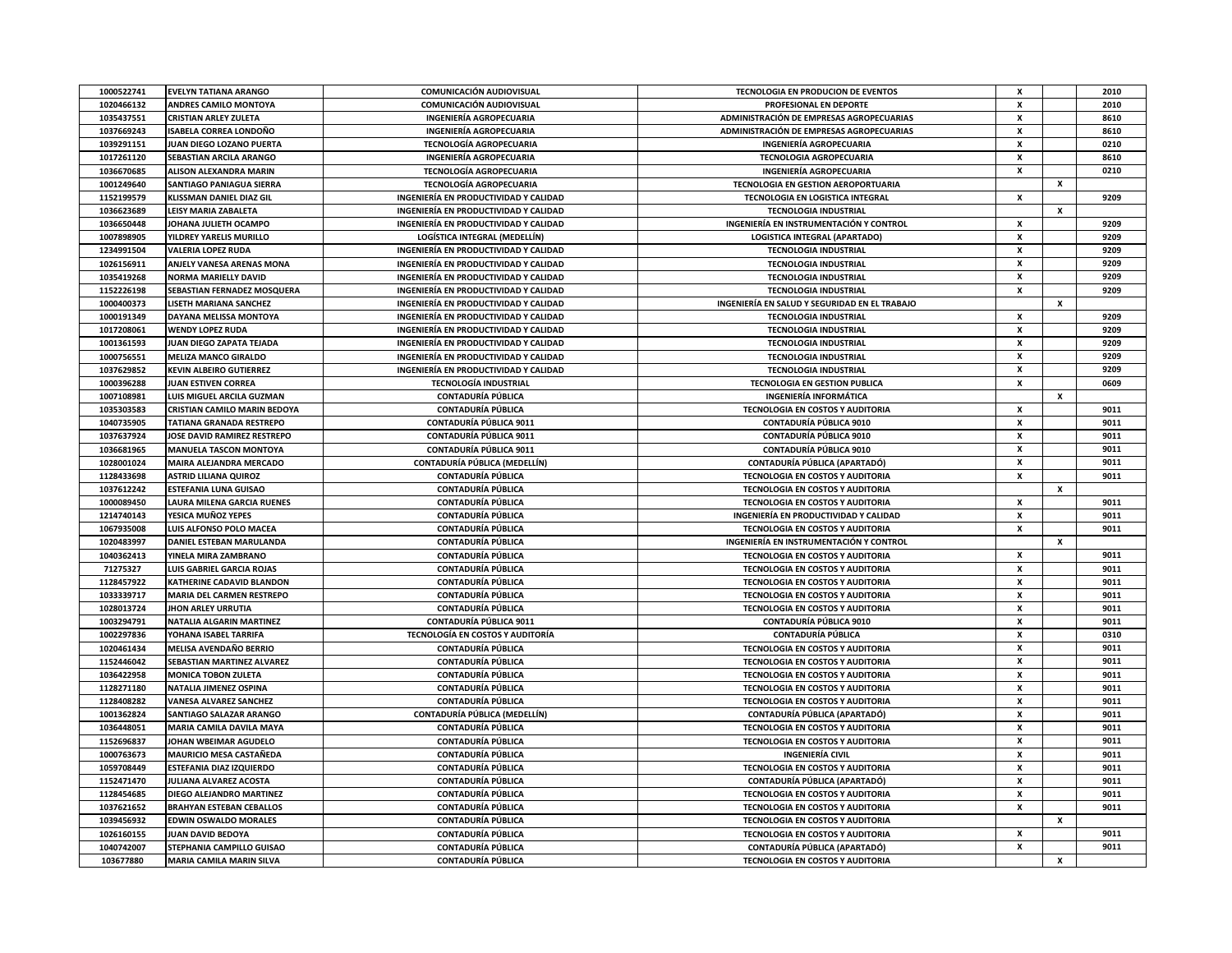| 1000522741               | <b>EVELYN TATIANA ARANGO</b>     | COMUNICACIÓN AUDIOVISUAL                | TECNOLOGIA EN PRODUCION DE EVENTOS            | x                  |                    | 2010 |
|--------------------------|----------------------------------|-----------------------------------------|-----------------------------------------------|--------------------|--------------------|------|
| 1020466132               | ANDRES CAMILO MONTOYA            | COMUNICACIÓN AUDIOVISUAL                | PROFESIONAL EN DEPORTE                        | x                  |                    | 2010 |
| 1035437551               | <b>CRISTIAN ARLEY ZULETA</b>     | <b>INGENIERÍA AGROPECUARIA</b>          | ADMINISTRACIÓN DE EMPRESAS AGROPECUARIAS      | x                  |                    | 8610 |
| 1037669243               | ISABELA CORREA LONDOÑO           | <b>INGENIERÍA AGROPECUARIA</b>          | ADMINISTRACIÓN DE EMPRESAS AGROPECUARIAS      | x                  |                    | 8610 |
| 1039291151               | JUAN DIEGO LOZANO PUERTA         | TECNOLOGÍA AGROPECUARIA                 | <b>INGENIERÍA AGROPECUARIA</b>                | x                  |                    | 0210 |
| 1017261120               | SEBASTIAN ARCILA ARANGO          | <b>INGENIERÍA AGROPECUARIA</b>          | TECNOLOGIA AGROPECUARIA                       | x                  |                    | 8610 |
| 1036670685               | ALISON ALEXANDRA MARIN           | TECNOLOGÍA AGROPECUARIA                 | <b>INGENIERÍA AGROPECUARIA</b>                | x                  |                    | 0210 |
| 1001249640               | <b>SANTIAGO PANIAGUA SIERRA</b>  | TECNOLOGÍA AGROPECUARIA                 | TECNOLOGIA EN GESTION AEROPORTUARIA           |                    | x                  |      |
| 1152199579               | <b>KLISSMAN DANIEL DIAZ GIL</b>  | INGENIERÍA EN PRODUCTIVIDAD Y CALIDAD   | TECNOLOGIA EN LOGISTICA INTEGRAL              | x                  |                    | 9209 |
| 1036623689               | <b>LEISY MARIA ZABALETA</b>      | INGENIERÍA EN PRODUCTIVIDAD Y CALIDAD   | <b>TECNOLOGIA INDUSTRIAL</b>                  |                    | х                  |      |
| 1036650448               | JOHANA JULIETH OCAMPO            | INGENIERÍA EN PRODUCTIVIDAD Y CALIDAD   | INGENIERÍA EN INSTRUMENTACIÓN Y CONTROL       | x                  |                    | 9209 |
| 1007898905               | YILDREY YARELIS MURILLO          | LOGÍSTICA INTEGRAL (MEDELLÍN)           | <b>LOGISTICA INTEGRAL (APARTADO)</b>          | x                  |                    | 9209 |
| 1234991504               | <b>VALERIA LOPEZ RUDA</b>        | INGENIERÍA EN PRODUCTIVIDAD Y CALIDAD   | <b>TECNOLOGIA INDUSTRIAL</b>                  | x                  |                    | 9209 |
| 1026156911               | ANJELY VANESA ARENAS MONA        | INGENIERÍA EN PRODUCTIVIDAD Y CALIDAD   | <b>TECNOLOGIA INDUSTRIAL</b>                  | x                  |                    | 9209 |
| 1035419268               | NORMA MARIELLY DAVID             | INGENIERÍA EN PRODUCTIVIDAD Y CALIDAD   | <b>TECNOLOGIA INDUSTRIAL</b>                  | x                  |                    | 9209 |
| 1152226198               | SEBASTIAN FERNADEZ MOSQUERA      | INGENIERÍA EN PRODUCTIVIDAD Y CALIDAD   | <b>TECNOLOGIA INDUSTRIAL</b>                  | x                  |                    | 9209 |
| 1000400373               | LISETH MARIANA SANCHEZ           | INGENIERÍA EN PRODUCTIVIDAD Y CALIDAD   | INGENIERÍA EN SALUD Y SEGURIDAD EN EL TRABAJO |                    | $\pmb{\mathsf{x}}$ |      |
| 1000191349               | <b>DAYANA MELISSA MONTOYA</b>    | INGENIERÍA EN PRODUCTIVIDAD Y CALIDAD   | <b>TECNOLOGIA INDUSTRIAL</b>                  | $\mathsf{x}$       |                    | 9209 |
| 1017208061               | <b>WENDY LOPEZ RUDA</b>          | INGENIERÍA EN PRODUCTIVIDAD Y CALIDAD   | <b>TECNOLOGIA INDUSTRIAL</b>                  | x                  |                    | 9209 |
| 1001361593               | JUAN DIEGO ZAPATA TEJADA         | INGENIERÍA EN PRODUCTIVIDAD Y CALIDAD   | <b>TECNOLOGIA INDUSTRIAL</b>                  | $\mathbf{x}$       |                    | 9209 |
| 1000756551               | <b>MELIZA MANCO GIRALDO</b>      | INGENIERÍA EN PRODUCTIVIDAD Y CALIDAD   | <b>TECNOLOGIA INDUSTRIAL</b>                  | x                  |                    | 9209 |
| 1037629852               | <b>KEVIN ALBEIRO GUTIERREZ</b>   | INGENIERÍA EN PRODUCTIVIDAD Y CALIDAD   | <b>TECNOLOGIA INDUSTRIAL</b>                  | x                  |                    | 9209 |
|                          | JUAN ESTIVEN CORREA              | <b>TECNOLOGÍA INDUSTRIAL</b>            | <b>TECNOLOGIA EN GESTION PUBLICA</b>          | x                  |                    |      |
| 1000396288<br>1007108981 | LUIS MIGUEL ARCILA GUZMAN        | <b>CONTADURÍA PÚBLICA</b>               | INGENIERÍA INFORMÁTICA                        |                    | x                  | 0609 |
| 1035303583               | CRISTIAN CAMILO MARIN BEDOYA     | CONTADURÍA PÚBLICA                      | TECNOLOGIA EN COSTOS Y AUDITORIA              | X                  |                    | 9011 |
| 1040735905               | <b>TATIANA GRANADA RESTREPO</b>  | <b>CONTADURÍA PÚBLICA 9011</b>          | <b>CONTADURÍA PÚBLICA 9010</b>                | $\pmb{\mathsf{x}}$ |                    | 9011 |
| 1037637924               | JOSE DAVID RAMIREZ RESTREPO      | <b>CONTADURÍA PÚBLICA 9011</b>          | CONTADURÍA PÚBLICA 9010                       | x                  |                    | 9011 |
| 1036681965               | <b>MANUELA TASCON MONTOYA</b>    | <b>CONTADURÍA PÚBLICA 9011</b>          | <b>CONTADURÍA PÚBLICA 9010</b>                | $\pmb{\mathsf{x}}$ |                    | 9011 |
| 1028001024               | <b>MAIRA ALEJANDRA MERCADO</b>   | CONTADURÍA PÚBLICA (MEDELLÍN)           | <b>CONTADURÍA PÚBLICA (APARTADÓ)</b>          | x                  |                    | 9011 |
| 1128433698               | <b>ASTRID LILIANA QUIROZ</b>     | <b>CONTADURÍA PÚBLICA</b>               | TECNOLOGIA EN COSTOS Y AUDITORIA              | x                  |                    | 9011 |
| 1037612242               | <b>ESTEFANIA LUNA GUISAO</b>     | <b>CONTADURÍA PÚBLICA</b>               | <b>TECNOLOGIA EN COSTOS Y AUDITORIA</b>       |                    | x                  |      |
| 1000089450               | LAURA MILENA GARCIA RUENES       | <b>CONTADURÍA PÚBLICA</b>               | TECNOLOGIA EN COSTOS Y AUDITORIA              | x                  |                    | 9011 |
| 1214740143               | YESICA MUÑOZ YEPES               | CONTADURÍA PÚBLICA                      | INGENIERÍA EN PRODUCTIVIDAD Y CALIDAD         | x                  |                    | 9011 |
| 1067935008               | LUIS ALFONSO POLO MACEA          | <b>CONTADURÍA PÚBLICA</b>               | TECNOLOGIA EN COSTOS Y AUDITORIA              | x                  |                    | 9011 |
| 1020483997               | DANIEL ESTEBAN MARULANDA         | <b>CONTADURÍA PÚBLICA</b>               | INGENIERÍA EN INSTRUMENTACIÓN Y CONTROL       |                    | $\pmb{\mathsf{x}}$ |      |
| 1040362413               | YINELA MIRA ZAMBRANO             | <b>CONTADURÍA PÚBLICA</b>               | TECNOLOGIA EN COSTOS Y AUDITORIA              | x                  |                    | 9011 |
| 71275327                 | LUIS GABRIEL GARCIA ROJAS        | <b>CONTADURÍA PÚBLICA</b>               | TECNOLOGIA EN COSTOS Y AUDITORIA              | $\pmb{\mathsf{x}}$ |                    | 9011 |
| 1128457922               | KATHERINE CADAVID BLANDON        | <b>CONTADURÍA PÚBLICA</b>               | <b>TECNOLOGIA EN COSTOS Y AUDITORIA</b>       | x                  |                    | 9011 |
| 1033339717               | MARIA DEL CARMEN RESTREPO        | <b>CONTADURÍA PÚBLICA</b>               | TECNOLOGIA EN COSTOS Y AUDITORIA              | $\pmb{\mathsf{x}}$ |                    | 9011 |
| 1028013724               | <b>JHON ARLEY URRUTIA</b>        | <b>CONTADURÍA PÚBLICA</b>               | <b>TECNOLOGIA EN COSTOS Y AUDITORIA</b>       | X                  |                    | 9011 |
| 1003294791               | NATALIA ALGARIN MARTINEZ         | <b>CONTADURÍA PÚBLICA 9011</b>          | CONTADURÍA PÚBLICA 9010                       | X                  |                    | 9011 |
| 1002297836               | YOHANA ISABEL TARRIFA            | <b>TECNOLOGÍA EN COSTOS Y AUDITORÍA</b> | <b>CONTADURÍA PÚBLICA</b>                     | x                  |                    | 0310 |
| 1020461434               | MELISA AVENDAÑO BERRIO           | <b>CONTADURÍA PÚBLICA</b>               | TECNOLOGIA EN COSTOS Y AUDITORIA              | x                  |                    | 9011 |
| 1152446042               | SEBASTIAN MARTINEZ ALVAREZ       | <b>CONTADURÍA PÚBLICA</b>               | <b>TECNOLOGIA EN COSTOS Y AUDITORIA</b>       | x                  |                    | 9011 |
| 1036422958               | MONICA TOBON ZULETA              | <b>CONTADURÍA PÚBLICA</b>               | TECNOLOGIA EN COSTOS Y AUDITORIA              | x                  |                    | 9011 |
| 1128271180               | NATALIA JIMENEZ OSPINA           | <b>CONTADURÍA PÚBLICA</b>               | <b>TECNOLOGIA EN COSTOS Y AUDITORIA</b>       | $\pmb{\chi}$       |                    | 9011 |
| 1128408282               | <b>VANESA ALVAREZ SANCHEZ</b>    | <b>CONTADURÍA PÚBLICA</b>               | TECNOLOGIA EN COSTOS Y AUDITORIA              | x                  |                    | 9011 |
| 1001362824               | SANTIAGO SALAZAR ARANGO          | CONTADURÍA PÚBLICA (MEDELLÍN)           | CONTADURÍA PÚBLICA (APARTADÓ)                 | $\mathbf{x}$       |                    | 9011 |
| 1036448051               | MARIA CAMILA DAVILA MAYA         | <b>CONTADURÍA PÚBLICA</b>               | TECNOLOGIA EN COSTOS Y AUDITORIA              | x                  |                    | 9011 |
| 1152696837               | JOHAN WBEIMAR AGUDELO            | <b>CONTADURÍA PÚBLICA</b>               | TECNOLOGIA EN COSTOS Y AUDITORIA              | x                  |                    | 9011 |
| 1000763673               | <b>MAURICIO MESA CASTAÑEDA</b>   | <b>CONTADURÍA PÚBLICA</b>               | INGENIERÍA CIVIL                              | x                  |                    | 9011 |
| 1059708449               | ESTEFANIA DIAZ IZQUIERDO         | <b>CONTADURÍA PÚBLICA</b>               | <b>TECNOLOGIA EN COSTOS Y AUDITORIA</b>       | x                  |                    | 9011 |
| 1152471470               | JULIANA ALVAREZ ACOSTA           | CONTADURÍA PÚBLICA                      | CONTADURÍA PÚBLICA (APARTADÓ)                 | x                  |                    | 9011 |
| 1128454685               | DIEGO ALEJANDRO MARTINEZ         | <b>CONTADURÍA PÚBLICA</b>               | TECNOLOGIA EN COSTOS Y AUDITORIA              | x                  |                    | 9011 |
| 1037621652               | <b>BRAHYAN ESTEBAN CEBALLOS</b>  | CONTADURÍA PÚBLICA                      | TECNOLOGIA EN COSTOS Y AUDITORIA              | x                  |                    | 9011 |
| 1039456932               | <b>EDWIN OSWALDO MORALES</b>     | CONTADURÍA PÚBLICA                      | TECNOLOGIA EN COSTOS Y AUDITORIA              |                    | x                  |      |
| 1026160155               | <b>JUAN DAVID BEDOYA</b>         | <b>CONTADURÍA PÚBLICA</b>               | TECNOLOGIA EN COSTOS Y AUDITORIA              | x                  |                    | 9011 |
| 1040742007               | <b>STEPHANIA CAMPILLO GUISAO</b> | <b>CONTADURÍA PÚBLICA</b>               | CONTADURÍA PÚBLICA (APARTADÓ)                 | x                  |                    | 9011 |
| 103677880                | <b>MARIA CAMILA MARIN SILVA</b>  | <b>CONTADURÍA PÚBLICA</b>               | TECNOLOGIA EN COSTOS Y AUDITORIA              |                    | $\boldsymbol{x}$   |      |